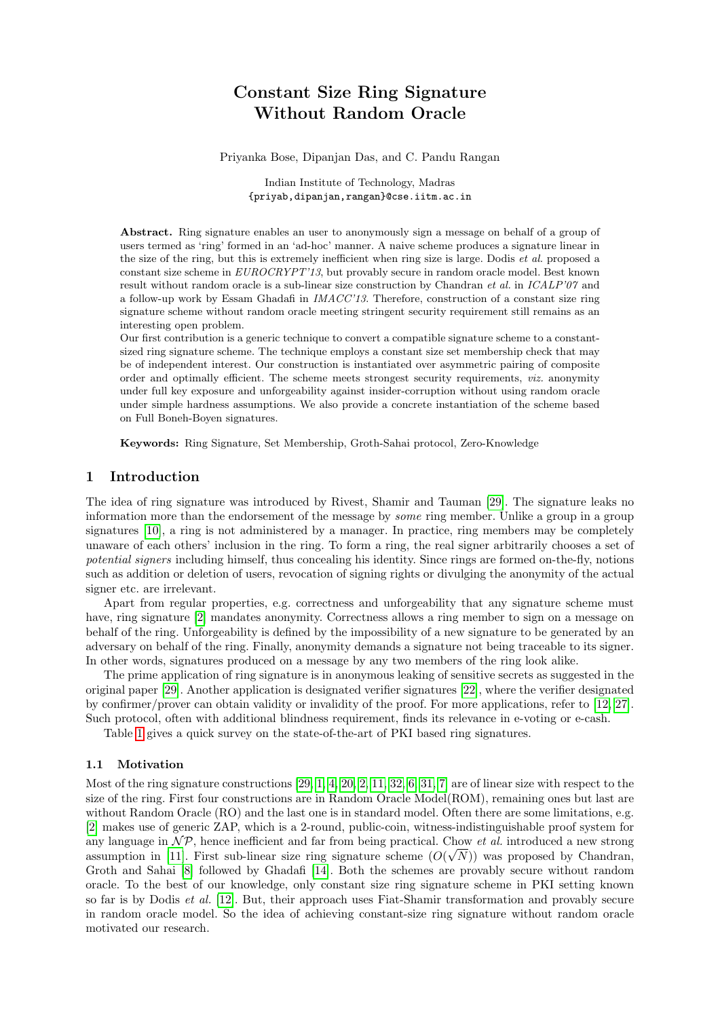# Constant Size Ring Signature Without Random Oracle

Priyanka Bose, Dipanjan Das, and C. Pandu Rangan

Indian Institute of Technology, Madras {priyab,dipanjan,rangan}@cse.iitm.ac.in

Abstract. Ring signature enables an user to anonymously sign a message on behalf of a group of users termed as 'ring' formed in an 'ad-hoc' manner. A naive scheme produces a signature linear in the size of the ring, but this is extremely inefficient when ring size is large. Dodis et al. proposed a constant size scheme in EUROCRYPT'13, but provably secure in random oracle model. Best known result without random oracle is a sub-linear size construction by Chandran *et al.* in *ICALP'07* and a follow-up work by Essam Ghadafi in IMACC'13. Therefore, construction of a constant size ring signature scheme without random oracle meeting stringent security requirement still remains as an interesting open problem.

Our first contribution is a generic technique to convert a compatible signature scheme to a constantsized ring signature scheme. The technique employs a constant size set membership check that may be of independent interest. Our construction is instantiated over asymmetric pairing of composite order and optimally efficient. The scheme meets strongest security requirements, viz. anonymity under full key exposure and unforgeability against insider-corruption without using random oracle under simple hardness assumptions. We also provide a concrete instantiation of the scheme based on Full Boneh-Boyen signatures.

Keywords: Ring Signature, Set Membership, Groth-Sahai protocol, Zero-Knowledge

### 1 Introduction

The idea of ring signature was introduced by Rivest, Shamir and Tauman [\[29\]](#page-13-0). The signature leaks no information more than the endorsement of the message by *some* ring member. Unlike a group in a group signatures [\[10\]](#page-12-0), a ring is not administered by a manager. In practice, ring members may be completely unaware of each others' inclusion in the ring. To form a ring, the real signer arbitrarily chooses a set of potential signers including himself, thus concealing his identity. Since rings are formed on-the-fly, notions such as addition or deletion of users, revocation of signing rights or divulging the anonymity of the actual signer etc. are irrelevant.

Apart from regular properties, e.g. correctness and unforgeability that any signature scheme must have, ring signature [\[2\]](#page-12-1) mandates anonymity. Correctness allows a ring member to sign on a message on behalf of the ring. Unforgeability is defined by the impossibility of a new signature to be generated by an adversary on behalf of the ring. Finally, anonymity demands a signature not being traceable to its signer. In other words, signatures produced on a message by any two members of the ring look alike.

The prime application of ring signature is in anonymous leaking of sensitive secrets as suggested in the original paper [\[29\]](#page-13-0). Another application is designated verifier signatures [\[22\]](#page-12-2), where the verifier designated by confirmer/prover can obtain validity or invalidity of the proof. For more applications, refer to [\[12,](#page-12-3) [27\]](#page-13-1). Such protocol, often with additional blindness requirement, finds its relevance in e-voting or e-cash.

Table [1](#page-1-0) gives a quick survey on the state-of-the-art of PKI based ring signatures.

### 1.1 Motivation

Most of the ring signature constructions [\[29,](#page-13-0) [1,](#page-12-4) [4,](#page-12-5) [20,](#page-12-6) [2,](#page-12-1) [11,](#page-12-7) [32,](#page-13-2) [6,](#page-12-8) [31,](#page-13-3) [7\]](#page-12-9) are of linear size with respect to the size of the ring. First four constructions are in Random Oracle Model(ROM), remaining ones but last are without Random Oracle (RO) and the last one is in standard model. Often there are some limitations, e.g. [\[2\]](#page-12-1) makes use of generic ZAP, which is a 2-round, public-coin, witness-indistinguishable proof system for any language in  $\mathcal{NP}$ , hence inefficient and far from being practical. Chow *et al.* introduced a new strong assumption in [\[11\]](#page-12-7). First sub-linear size ring signature scheme  $(O(\sqrt{N}))$  was proposed by Chandran, Groth and Sahai [\[8\]](#page-12-10) followed by Ghadafi [\[14\]](#page-12-11). Both the schemes are provably secure without random oracle. To the best of our knowledge, only constant size ring signature scheme in PKI setting known so far is by Dodis et al. [\[12\]](#page-12-3). But, their approach uses Fiat-Shamir transformation and provably secure in random oracle model. So the idea of achieving constant-size ring signature without random oracle motivated our research.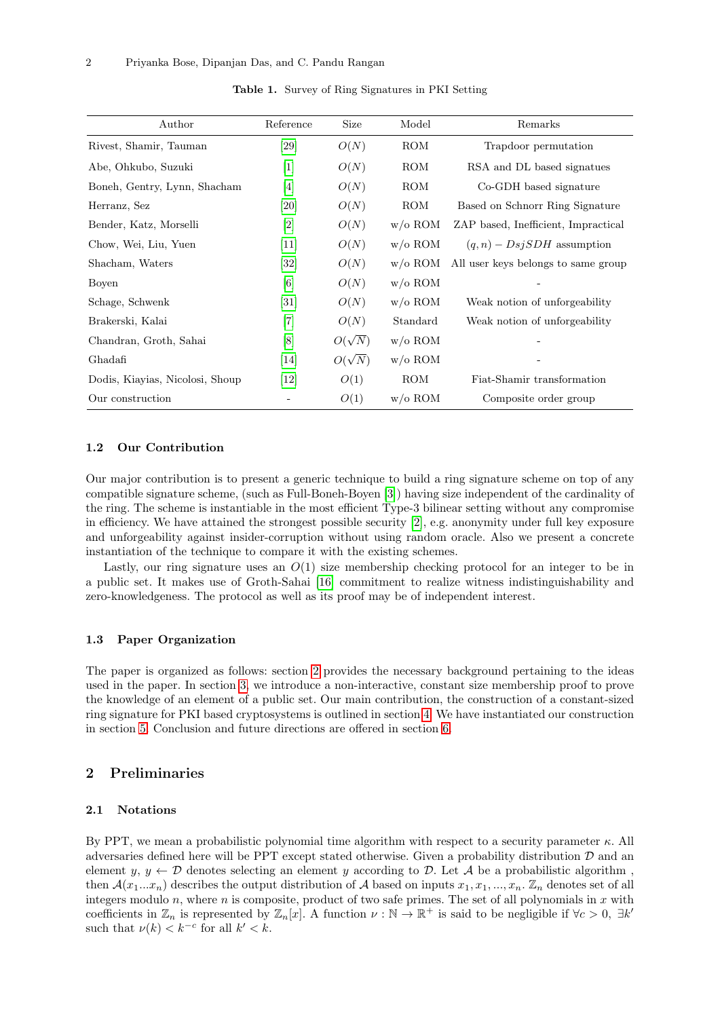<span id="page-1-0"></span>

| Author                          | Reference         | Size          | Model            | Remarks                             |
|---------------------------------|-------------------|---------------|------------------|-------------------------------------|
| Rivest, Shamir, Tauman          | [29]              | O(N)          | ROM              | Trapdoor permutation                |
| Abe, Ohkubo, Suzuki             | $\lceil 1 \rceil$ | O(N)          | ROM              | RSA and DL based signatues          |
| Boneh, Gentry, Lynn, Shacham    | $[4]$             | O(N)          | ROM              | Co-GDH based signature              |
| Herranz, Sez                    | [20]              | O(N)          | <b>ROM</b>       | Based on Schnorr Ring Signature     |
| Bender, Katz, Morselli          | [2]               | O(N)          | $w/\text{o ROM}$ | ZAP based, Inefficient, Impractical |
| Chow, Wei, Liu, Yuen            | $[11]$            | O(N)          | $w/\text{o ROM}$ | $(q, n)$ – $DisjSDH$ assumption     |
| Shacham, Waters                 | [32]              | O(N)          | $w/\text{o ROM}$ | All user keys belongs to same group |
| Boyen                           | [6]               | O(N)          | $w/\text{o ROM}$ |                                     |
| Schage, Schwenk                 | $\left[31\right]$ | O(N)          | $w/\text{o ROM}$ | Weak notion of unforgeability       |
| Brakerski, Kalai                | $[7]$             | O(N)          | Standard         | Weak notion of unforgeability       |
| Chandran, Groth, Sahai          | [8]               | $O(\sqrt{N})$ | $w/\text{o ROM}$ |                                     |
| Ghadafi                         | [14]              | $O(\sqrt{N})$ | $w/\text{o ROM}$ |                                     |
| Dodis, Kiayias, Nicolosi, Shoup | $\left[12\right]$ | O(1)          | <b>ROM</b>       | Fiat-Shamir transformation          |
| Our construction                |                   | O(1)          | $w/\text{o ROM}$ | Composite order group               |

Table 1. Survey of Ring Signatures in PKI Setting

#### 1.2 Our Contribution

Our major contribution is to present a generic technique to build a ring signature scheme on top of any compatible signature scheme, (such as Full-Boneh-Boyen [\[3\]](#page-12-12)) having size independent of the cardinality of the ring. The scheme is instantiable in the most efficient Type-3 bilinear setting without any compromise in efficiency. We have attained the strongest possible security [\[2\]](#page-12-1), e.g. anonymity under full key exposure and unforgeability against insider-corruption without using random oracle. Also we present a concrete instantiation of the technique to compare it with the existing schemes.

Lastly, our ring signature uses an  $O(1)$  size membership checking protocol for an integer to be in a public set. It makes use of Groth-Sahai [\[16\]](#page-12-13) commitment to realize witness indistinguishability and zero-knowledgeness. The protocol as well as its proof may be of independent interest.

### 1.3 Paper Organization

The paper is organized as follows: section [2](#page-1-1) provides the necessary background pertaining to the ideas used in the paper. In section [3,](#page-6-0) we introduce a non-interactive, constant size membership proof to prove the knowledge of an element of a public set. Our main contribution, the construction of a constant-sized ring signature for PKI based cryptosystems is outlined in section [4.](#page-8-0) We have instantiated our construction in section [5.](#page-10-0) Conclusion and future directions are offered in section [6.](#page-11-0)

# <span id="page-1-1"></span>2 Preliminaries

#### 2.1 Notations

By PPT, we mean a probabilistic polynomial time algorithm with respect to a security parameter  $\kappa$ . All adversaries defined here will be PPT except stated otherwise. Given a probability distribution  $D$  and an element  $y, y \leftarrow \mathcal{D}$  denotes selecting an element y according to  $\mathcal{D}$ . Let A be a probabilistic algorithm, then  $\mathcal{A}(x_1...x_n)$  describes the output distribution of  $\mathcal A$  based on inputs  $x_1, x_1, ..., x_n$ .  $\mathbb Z_n$  denotes set of all integers modulo  $n$ , where  $n$  is composite, product of two safe primes. The set of all polynomials in  $x$  with coefficients in  $\mathbb{Z}_n$  is represented by  $\mathbb{Z}_n[x]$ . A function  $\nu : \mathbb{N} \to \mathbb{R}^+$  is said to be negligible if  $\forall c > 0, \exists k'$ such that  $\nu(k) < k^{-c}$  for all  $k' < k$ .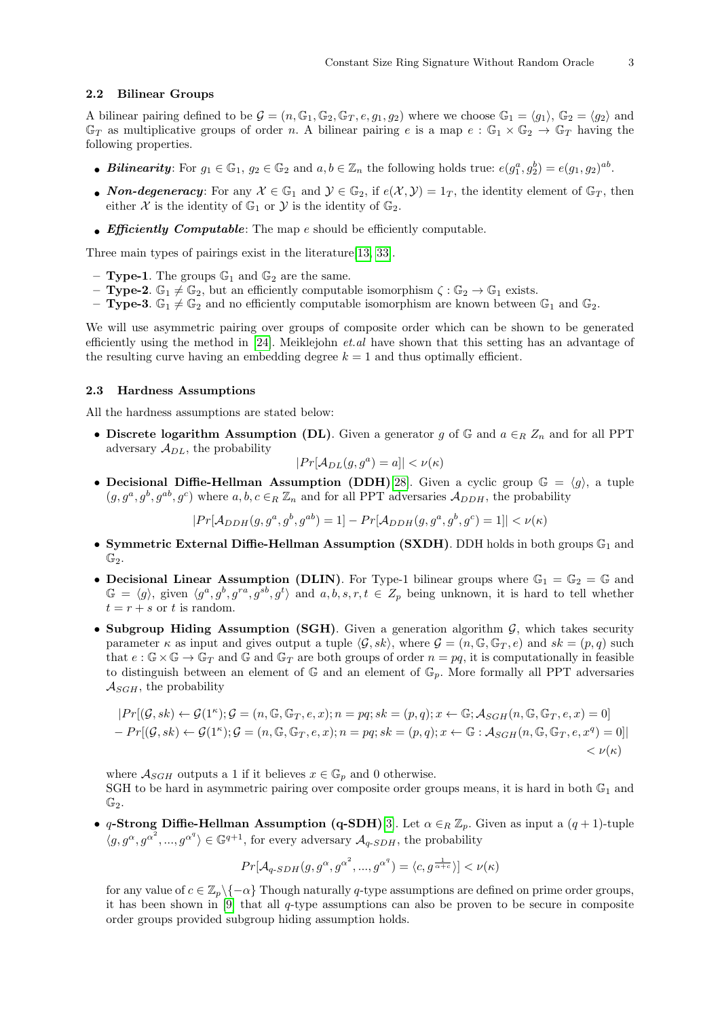#### 2.2 Bilinear Groups

A bilinear pairing defined to be  $\mathcal{G} = (n, \mathbb{G}_1, \mathbb{G}_2, \mathbb{G}_T, e, g_1, g_2)$  where we choose  $\mathbb{G}_1 = \langle g_1 \rangle$ ,  $\mathbb{G}_2 = \langle g_2 \rangle$  and  $\mathbb{G}_T$  as multiplicative groups of order n. A bilinear pairing e is a map  $e : \mathbb{G}_1 \times \mathbb{G}_2 \to \mathbb{G}_T$  having the following properties.

- Bilinearity: For  $g_1 \in \mathbb{G}_1$ ,  $g_2 \in \mathbb{G}_2$  and  $a, b \in \mathbb{Z}_n$  the following holds true:  $e(g_1^a, g_2^b) = e(g_1, g_2)^{ab}$ .
- Non-degeneracy: For any  $\mathcal{X} \in \mathbb{G}_1$  and  $\mathcal{Y} \in \mathbb{G}_2$ , if  $e(\mathcal{X}, \mathcal{Y}) = 1_T$ , the identity element of  $\mathbb{G}_T$ , then either X is the identity of  $\mathbb{G}_1$  or Y is the identity of  $\mathbb{G}_2$ .
- Efficiently Computable: The map  $e$  should be efficiently computable.

Three main types of pairings exist in the literature[\[13,](#page-12-14) [33\]](#page-13-4).

- **Type-1**. The groups  $\mathbb{G}_1$  and  $\mathbb{G}_2$  are the same.
- **Type-2**.  $\mathbb{G}_1 \neq \mathbb{G}_2$ , but an efficiently computable isomorphism  $\zeta : \mathbb{G}_2 \to \mathbb{G}_1$  exists.
- **Type-3**.  $\mathbb{G}_1 \neq \mathbb{G}_2$  and no efficiently computable isomorphism are known between  $\mathbb{G}_1$  and  $\mathbb{G}_2$ .

We will use asymmetric pairing over groups of composite order which can be shown to be generated efficiently using the method in [\[24\]](#page-12-15). Meiklejohn *et.al* have shown that this setting has an advantage of the resulting curve having an embedding degree  $k = 1$  and thus optimally efficient.

#### 2.3 Hardness Assumptions

All the hardness assumptions are stated below:

• Discrete logarithm Assumption (DL). Given a generator g of  $\mathbb{G}$  and  $a \in_R Z_n$  and for all PPT adversary  $\mathcal{A}_{DL}$ , the probability

$$
|Pr[\mathcal{A}_{DL}(g, g^a) = a]| < \nu(\kappa)
$$

• Decisional Diffie-Hellman Assumption (DDH)[\[28\]](#page-13-5). Given a cyclic group  $\mathbb{G} = \langle g \rangle$ , a tuple  $(g, g^a, g^b, g^{ab}, g^c)$  where  $a, b, c \in_R \mathbb{Z}_n$  and for all PPT adversaries  $\mathcal{A}_{DDH}$ , the probability

$$
|Pr[\mathcal{A}_{DDH}(g, g^a, g^b, g^{ab}) = 1] - Pr[\mathcal{A}_{DDH}(g, g^a, g^b, g^c) = 1]| < \nu(\kappa)
$$

- Symmetric External Diffie-Hellman Assumption (SXDH). DDH holds in both groups  $\mathbb{G}_1$  and  $\mathbb{G}_2$ .
- Decisional Linear Assumption (DLIN). For Type-1 bilinear groups where  $\mathbb{G}_1 = \mathbb{G}_2 = \mathbb{G}$  and  $\mathbb{G} = \langle g \rangle$ , given  $\langle g^a, g^b, g^{ra}, g^{sb}, g^t \rangle$  and  $a, b, s, r, t \in \mathbb{Z}_p$  being unknown, it is hard to tell whether  $t = r + s$  or t is random.
- Subgroup Hiding Assumption (SGH). Given a generation algorithm  $G$ , which takes security parameter  $\kappa$  as input and gives output a tuple  $\langle \mathcal{G}, sk \rangle$ , where  $\mathcal{G} = (n, \mathbb{G}, \mathbb{G}_T, e)$  and  $sk = (p, q)$  such that  $e : \mathbb{G} \times \mathbb{G} \to \mathbb{G}_T$  and  $\mathbb{G}$  and  $\mathbb{G}_T$  are both groups of order  $n = pq$ , it is computationally in feasible to distinguish between an element of  $\mathbb{G}$  and an element of  $\mathbb{G}_p$ . More formally all PPT adversaries  $\mathcal{A}_{SGH}$ , the probability

$$
|Pr[(\mathcal{G}, sk) \leftarrow \mathcal{G}(1^{\kappa}); \mathcal{G} = (n, \mathbb{G}, \mathbb{G}_T, e, x); n = pq; sk = (p, q); x \leftarrow \mathbb{G}; A_{SGH}(n, \mathbb{G}, \mathbb{G}_T, e, x) = 0]
$$
  
- 
$$
Pr[(\mathcal{G}, sk) \leftarrow \mathcal{G}(1^{\kappa}); \mathcal{G} = (n, \mathbb{G}, \mathbb{G}_T, e, x); n = pq; sk = (p, q); x \leftarrow \mathbb{G} : A_{SGH}(n, \mathbb{G}, \mathbb{G}_T, e, x^q) = 0]
$$
  

$$
<\nu(\kappa)
$$

where  $\mathcal{A}_{SGH}$  outputs a 1 if it believes  $x \in \mathbb{G}_p$  and 0 otherwise.

SGH to be hard in asymmetric pairing over composite order groups means, it is hard in both  $\mathbb{G}_1$  and  $\mathbb{G}_2$ .

• q-Strong Diffie-Hellman Assumption (q-SDH)[\[3\]](#page-12-12). Let  $\alpha \in_R \mathbb{Z}_p$ . Given as input a  $(q+1)$ -tuple  $\langle g, g^{\alpha}, g^{\alpha^2}, ..., g^{\alpha^q} \rangle \in \mathbb{G}^{q+1}$ , for every adversary  $\mathcal{A}_{q\text{-}SDH}$ , the probability

$$
Pr[\mathcal{A}_{q\text{-}SDH}(g, g^{\alpha}, g^{\alpha^2}, ..., g^{\alpha^q}) = \langle c, g^{\frac{1}{\alpha+c}} \rangle] < \nu(\kappa)
$$

for any value of  $c \in \mathbb{Z}_p \backslash \{-\alpha\}$  Though naturally q-type assumptions are defined on prime order groups, it has been shown in  $[9]$  that all q-type assumptions can also be proven to be secure in composite order groups provided subgroup hiding assumption holds.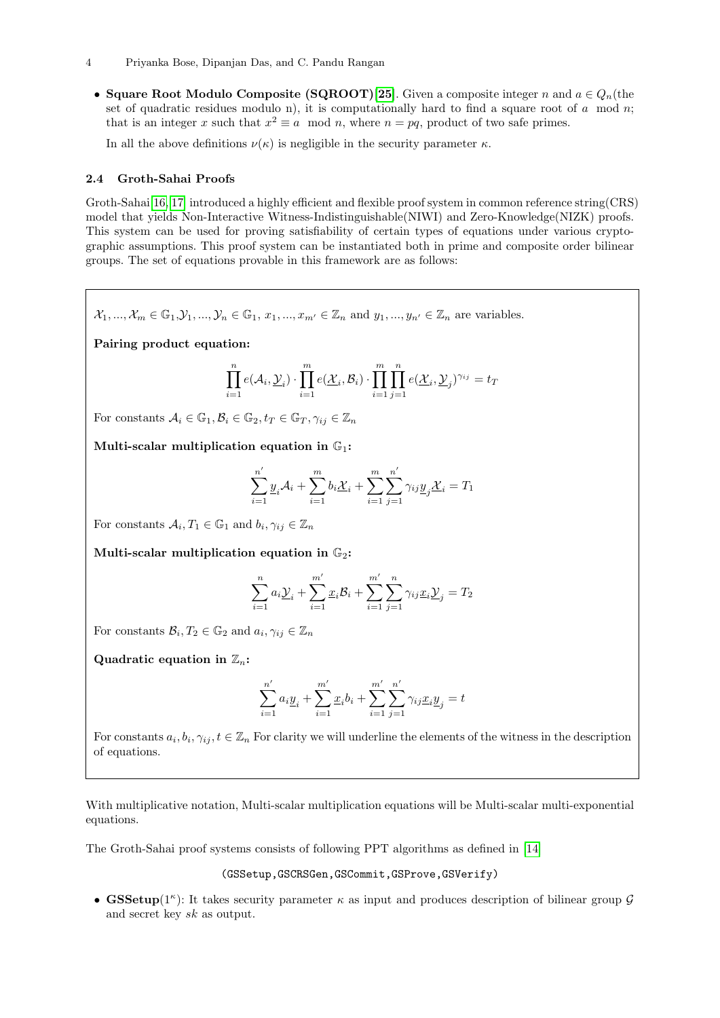• Square Root Modulo Composite (SQROOT)[\[25\]](#page-12-17). Given a composite integer n and  $a \in Q_n$  (the set of quadratic residues modulo n), it is computationally hard to find a square root of  $a \mod n$ ; that is an integer x such that  $x^2 \equiv a \mod n$ , where  $n = pq$ , product of two safe primes.

In all the above definitions  $\nu(\kappa)$  is negligible in the security parameter  $\kappa$ .

### 2.4 Groth-Sahai Proofs

Groth-Sahai<sup>[\[16,](#page-12-13) [17\]](#page-12-18)</sup> introduced a highly efficient and flexible proof system in common reference string(CRS) model that yields Non-Interactive Witness-Indistinguishable(NIWI) and Zero-Knowledge(NIZK) proofs. This system can be used for proving satisfiability of certain types of equations under various cryptographic assumptions. This proof system can be instantiated both in prime and composite order bilinear groups. The set of equations provable in this framework are as follows:

 $\mathcal{X}_1, ..., \mathcal{X}_m \in \mathbb{G}_1, \mathcal{Y}_1, ..., \mathcal{Y}_n \in \mathbb{G}_1, x_1, ..., x_{m'} \in \mathbb{Z}_n$  and  $y_1, ..., y_{n'} \in \mathbb{Z}_n$  are variables.

Pairing product equation:

$$
\prod_{i=1}^n e(\mathcal{A}_i, \underline{\mathcal{Y}}_i) \cdot \prod_{i=1}^m e(\underline{\mathcal{X}}_i, \mathcal{B}_i) \cdot \prod_{i=1}^m \prod_{j=1}^n e(\underline{\mathcal{X}}_i, \underline{\mathcal{Y}}_j)^{\gamma_{ij}} = t_T
$$

For constants  $A_i \in \mathbb{G}_1, B_i \in \mathbb{G}_2, t_T \in \mathbb{G}_T, \gamma_{ij} \in \mathbb{Z}_n$ 

Multi-scalar multiplication equation in  $\mathbb{G}_1$ :

$$
\sum_{i=1}^{n'} \underline{y}_i \mathcal{A}_i + \sum_{i=1}^{m} b_i \underline{\mathcal{X}}_i + \sum_{i=1}^{m} \sum_{j=1}^{n'} \gamma_{ij} \underline{y}_j \underline{\mathcal{X}}_i = T_1
$$

For constants  $A_i, T_1 \in \mathbb{G}_1$  and  $b_i, \gamma_{ij} \in \mathbb{Z}_n$ 

Multi-scalar multiplication equation in  $\mathbb{G}_2$ :

$$
\sum_{i=1}^{n} a_i \underline{\mathcal{Y}}_i + \sum_{i=1}^{m'} \underline{x}_i \mathcal{B}_i + \sum_{i=1}^{m'} \sum_{j=1}^{n} \gamma_{ij} \underline{x}_i \underline{\mathcal{Y}}_j = T_2
$$

For constants  $\mathcal{B}_i, T_2 \in \mathbb{G}_2$  and  $a_i, \gamma_{ij} \in \mathbb{Z}_n$ 

Quadratic equation in  $\mathbb{Z}_n$ :

$$
\sum_{i=1}^{n'} a_i \underline{y}_i + \sum_{i=1}^{m'} \underline{x}_i b_i + \sum_{i=1}^{m'} \sum_{j=1}^{n'} \gamma_{ij} \underline{x}_i \underline{y}_j = t
$$

For constants  $a_i, b_i, \gamma_{ij}, t \in \mathbb{Z}_n$  For clarity we will underline the elements of the witness in the description of equations.

With multiplicative notation, Multi-scalar multiplication equations will be Multi-scalar multi-exponential equations.

The Groth-Sahai proof systems consists of following PPT algorithms as defined in [\[14\]](#page-12-11)

(GSSetup,GSCRSGen,GSCommit,GSProve,GSVerify)

• GSSetup( $1^{\kappa}$ ): It takes security parameter  $\kappa$  as input and produces description of bilinear group  $\mathcal{G}$ and secret key sk as output.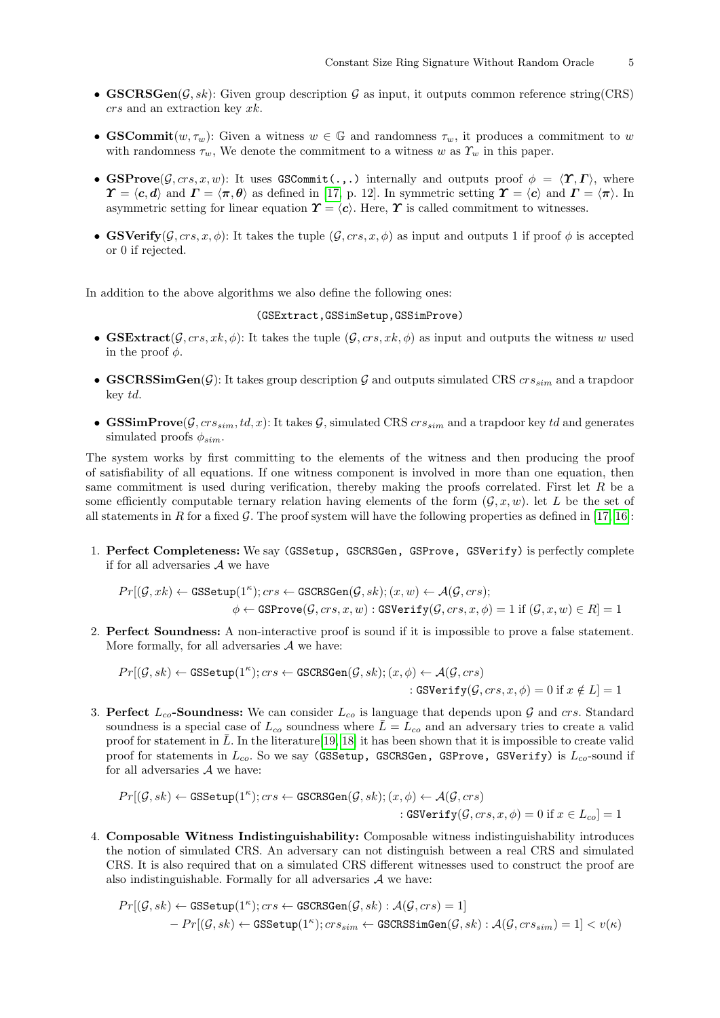- **GSCRSGen** $(\mathcal{G}, sk)$ : Given group description  $\mathcal{G}$  as input, it outputs common reference string(CRS) crs and an extraction key xk.
- GSCommit $(w, \tau_w)$ : Given a witness  $w \in \mathbb{G}$  and randomness  $\tau_w$ , it produces a commitment to w with randomness  $\tau_w$ , We denote the commitment to a witness w as  $\gamma_w$  in this paper.
- GSProve $(\mathcal{G}, \text{crs}, x, w)$ : It uses GSCommit(...) internally and outputs proof  $\phi = \langle \Upsilon, \Gamma \rangle$ , where  $\Upsilon = \langle c, d \rangle$  and  $\Gamma = \langle \pi, \theta \rangle$  as defined in [\[17,](#page-12-18) p. 12]. In symmetric setting  $\Upsilon = \langle c \rangle$  and  $\Gamma = \langle \pi \rangle$ . In asymmetric setting for linear equation  $\boldsymbol{\Upsilon} = \langle c \rangle$ . Here,  $\boldsymbol{\Upsilon}$  is called commitment to witnesses.
- GSVerify( $\mathcal{G}, \text{crs}, x, \phi$ ): It takes the tuple  $(\mathcal{G}, \text{crs}, x, \phi)$  as input and outputs 1 if proof  $\phi$  is accepted or 0 if rejected.

In addition to the above algorithms we also define the following ones:

#### (GSExtract,GSSimSetup,GSSimProve)

- GSExtract( $(\mathcal{G}, \text{crs}, \text{rk}, \phi)$ : It takes the tuple  $(\mathcal{G}, \text{crs}, \text{rk}, \phi)$  as input and outputs the witness w used in the proof  $\phi$ .
- GSCRSSimGen(G): It takes group description G and outputs simulated CRS  $crs_{sim}$  and a trapdoor key td.
- **GSSimProve**( $\mathcal{G}, crs_{sim}$ , td, x): It takes  $\mathcal{G}$ , simulated CRS  $crs_{sim}$  and a trapdoor key td and generates simulated proofs  $\phi_{sim}$ .

The system works by first committing to the elements of the witness and then producing the proof of satisfiability of all equations. If one witness component is involved in more than one equation, then same commitment is used during verification, thereby making the proofs correlated. First let  $R$  be a some efficiently computable ternary relation having elements of the form  $(\mathcal{G}, x, w)$ . let L be the set of all statements in R for a fixed  $\mathcal G$ . The proof system will have the following properties as defined in [\[17,](#page-12-18) [16\]](#page-12-13):

1. Perfect Completeness: We say (GSSetup, GSCRSGen, GSProve, GSVerify) is perfectly complete if for all adversaries A we have

$$
Pr[(\mathcal{G},xk) \leftarrow \texttt{GSSetup}(1^{\kappa});crs \leftarrow \texttt{GSCRSGen}(\mathcal{G},sk); (x,w) \leftarrow \mathcal{A}(\mathcal{G},crs);
$$

$$
\phi \leftarrow \texttt{GSProve}(\mathcal{G},crs,x,w): \texttt{GSVerify}(\mathcal{G},crs,x,\phi) = 1 \text{ if } (\mathcal{G},x,w) \in R] = 1
$$

2. Perfect Soundness: A non-interactive proof is sound if it is impossible to prove a false statement. More formally, for all adversaries  $A$  we have:

$$
Pr[(\mathcal{G}, sk) \leftarrow \texttt{GSSetup}(1^{\kappa}); crs \leftarrow \texttt{GSCRSGen}(\mathcal{G}, sk); (x, \phi) \leftarrow \mathcal{A}(\mathcal{G}, crs)
$$
  
: 
$$
\texttt{GSVerify}(\mathcal{G}, crs, x, \phi) = 0 \text{ if } x \notin L] = 1
$$

3. Perfect  $L_{co}$ -Soundness: We can consider  $L_{co}$  is language that depends upon G and crs. Standard soundness is a special case of  $L_{co}$  soundness where  $\overline{L}=L_{co}$  and an adversary tries to create a valid proof for statement in L. In the literature [\[19,](#page-12-19) [18\]](#page-12-20) it has been shown that it is impossible to create valid proof for statements in  $L_{co}$ . So we say (GSSetup, GSCRSGen, GSProve, GSVerify) is  $L_{co}$ -sound if for all adversaries  $A$  we have:

$$
Pr[(\mathcal{G}, sk) \leftarrow \texttt{GSSetup}(1^{\kappa}); crs \leftarrow \texttt{GSCRSGen}(\mathcal{G}, sk); (x, \phi) \leftarrow \mathcal{A}(\mathcal{G}, crs)
$$
  
 : 
$$
\texttt{GSVerify}(\mathcal{G}, crs, x, \phi) = 0 \text{ if } x \in L_{co}] = 1
$$

4. Composable Witness Indistinguishability: Composable witness indistinguishability introduces the notion of simulated CRS. An adversary can not distinguish between a real CRS and simulated CRS. It is also required that on a simulated CRS different witnesses used to construct the proof are also indistinguishable. Formally for all adversaries  $A$  we have:

$$
\begin{aligned} Pr[(\mathcal{G},sk) \leftarrow \texttt{GSSetup}(1^\kappa); crs \leftarrow \texttt{GSCRSGen}(\mathcal{G},sk): \mathcal{A}(\mathcal{G},crs) = 1] \\ &- Pr[(\mathcal{G},sk) \leftarrow \texttt{GSSetup}(1^\kappa); crs_{sim} \leftarrow \texttt{GSCRSSimGen}(\mathcal{G},sk): \mathcal{A}(\mathcal{G},crs_{sim}) = 1] < v(\kappa) \end{aligned}
$$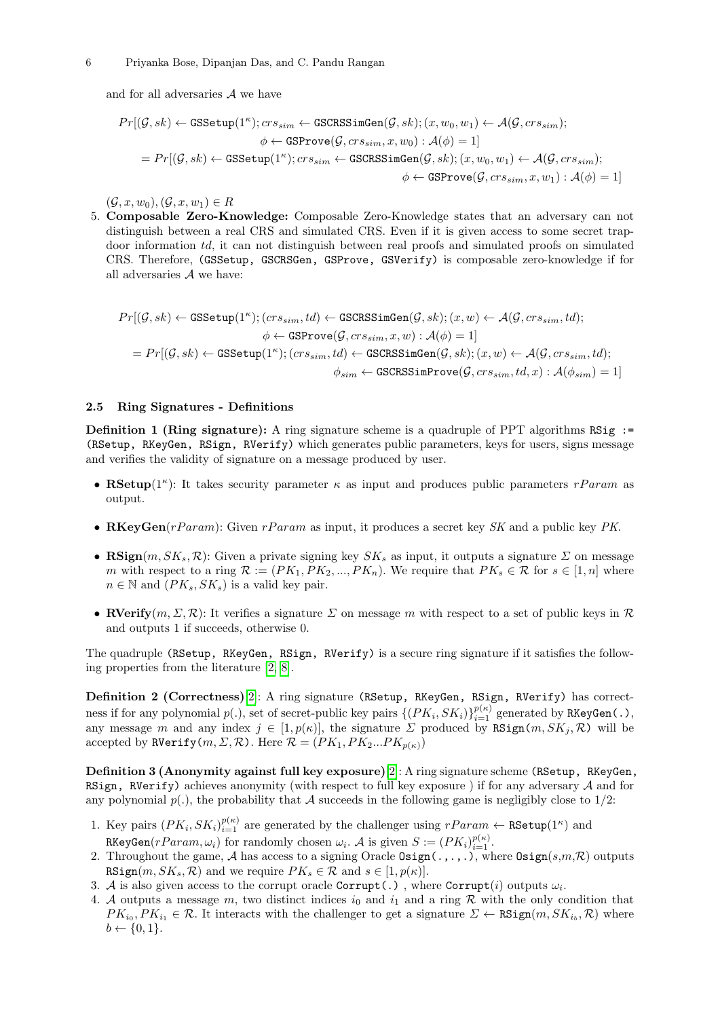#### 6 Priyanka Bose, Dipanjan Das, and C. Pandu Rangan

and for all adversaries A we have

$$
\begin{aligned} Pr[(\mathcal{G},sk) \leftarrow \texttt{GSSetup}(1^\kappa); cr s_{sim} \leftarrow \texttt{GSCRSSimGen}(\mathcal{G},sk); (x,w_0,w_1) \leftarrow \mathcal{A}(\mathcal{G},cr s_{sim}); \\ & \phi \leftarrow \texttt{GSProve}(\mathcal{G},cr s_{sim},x,w_0): \mathcal{A}(\phi) = 1] \\ = Pr[(\mathcal{G},sk) \leftarrow \texttt{GSSetup}(1^\kappa); cr s_{sim} \leftarrow \texttt{GSCRSSimGen}(\mathcal{G},sk); (x,w_0,w_1) \leftarrow \mathcal{A}(\mathcal{G},cr s_{sim}); \\ & \phi \leftarrow \texttt{GSProve}(\mathcal{G},cr s_{sim},x,w_1): \mathcal{A}(\phi) = 1] \end{aligned}
$$

 $(\mathcal{G}, x, w_0), (\mathcal{G}, x, w_1) \in R$ 

<span id="page-5-0"></span>5. Composable Zero-Knowledge: Composable Zero-Knowledge states that an adversary can not distinguish between a real CRS and simulated CRS. Even if it is given access to some secret trapdoor information td, it can not distinguish between real proofs and simulated proofs on simulated CRS. Therefore, (GSSetup, GSCRSGen, GSProve, GSVerify) is composable zero-knowledge if for all adversaries A we have:

$$
\begin{aligned} Pr[(\mathcal{G},sk) \leftarrow \texttt{GSSetup}(1^\kappa); (cr s_{sim},td) \leftarrow \texttt{GSCRSSimGen}(\mathcal{G},sk); (x,w) \leftarrow \mathcal{A}(\mathcal{G},cr s_{sim},td); \\ & \phi \leftarrow \texttt{GSProve}(\mathcal{G},cr s_{sim},x,w): \mathcal{A}(\phi) = 1] \\ = Pr[(\mathcal{G},sk) \leftarrow \texttt{GSSetup}(1^\kappa); (cr s_{sim},td) \leftarrow \texttt{GSCRSSimGen}(\mathcal{G},sk); (x,w) \leftarrow \mathcal{A}(\mathcal{G},cr s_{sim},td); \\ & \phi_{sim} \leftarrow \texttt{GSCRSSimProve}(\mathcal{G},cr s_{sim},td,x): \mathcal{A}(\phi_{sim}) = 1] \end{aligned}
$$

### 2.5 Ring Signatures - Definitions

**Definition 1 (Ring signature):** A ring signature scheme is a quadruple of PPT algorithms RSig := (RSetup, RKeyGen, RSign, RVerify) which generates public parameters, keys for users, signs message and verifies the validity of signature on a message produced by user.

- RSetup( $1^{\kappa}$ ): It takes security parameter  $\kappa$  as input and produces public parameters rParam as output.
- RKeyGen(rParam): Given rParam as input, it produces a secret key  $SK$  and a public key PK.
- RSign $(m, SK_s, \mathcal{R})$ : Given a private signing key  $SK_s$  as input, it outputs a signature  $\Sigma$  on message m with respect to a ring  $\mathcal{R} := (PK_1, PK_2, ..., PK_n)$ . We require that  $PK_s \in \mathcal{R}$  for  $s \in [1, n]$  where  $n \in \mathbb{N}$  and  $(PK_s, SK_s)$  is a valid key pair.
- RVerify $(m, \Sigma, \mathcal{R})$ : It verifies a signature  $\Sigma$  on message m with respect to a set of public keys in  $\mathcal{R}$ and outputs 1 if succeeds, otherwise 0.

The quadruple (RSetup, RKeyGen, RSign, RVerify) is a secure ring signature if it satisfies the following properties from the literature [\[2,](#page-12-1) [8\]](#page-12-10).

Definition 2 (Correctness)[\[2\]](#page-12-1): A ring signature (RSetup, RKeyGen, RSign, RVerify) has correctness if for any polynomial  $p(.)$ , set of secret-public key pairs  $\{(PK_i, SK_i)\}_{i=1}^{p(\kappa)}$  generated by RKeyGen(.), any message m and any index  $j \in [1, p(\kappa)]$ , the signature  $\Sigma$  produced by RSign $(m, SK_j, \mathcal{R})$  will be accepted by RVerify $(m, \Sigma, \mathcal{R})$ . Here  $\mathcal{R} = (PK_1, PK_2...PK_{p(\kappa)})$ 

Definition 3 (Anonymity against full key exposure)[\[2\]](#page-12-1): A ring signature scheme (RSetup, RKeyGen, RSign, RVerify) achieves anonymity (with respect to full key exposure) if for any adversary  $A$  and for any polynomial  $p(.)$ , the probability that A succeeds in the following game is negligibly close to  $1/2$ :

- 1. Key pairs  $(PK_i, SK_i)_{i=1}^{p(\kappa)}$  are generated by the challenger using  $rParam \leftarrow \texttt{RSetup}(1^{\kappa})$  and RKeyGen $(rParam, \omega_i)$  for randomly chosen  $\omega_i$ . A is given  $S := (PK_i)_{i=1}^{p(\kappa)}$ .
- 2. Throughout the game, A has access to a signing Oracle  $\text{Osign}(\ldots,\ldots)$ , where  $\text{Osign}(s,m,\mathcal{R})$  outputs  $\texttt{RSign}(m, SK_s, \mathcal{R})$  and we require  $PK_s \in \mathcal{R}$  and  $s \in [1, p(\kappa)].$
- 3. A is also given access to the corrupt oracle  $\texttt{Corrupt}(.)$ , where  $\texttt{Corrupt}(i)$  outputs  $\omega_i$ .
- 4. A outputs a message m, two distinct indices  $i_0$  and  $i_1$  and a ring R with the only condition that  $PK_{i_0}, PK_{i_1} \in \mathcal{R}$ . It interacts with the challenger to get a signature  $\Sigma \leftarrow \texttt{RSign}(m, SK_{i_b}, \mathcal{R})$  where  $b \leftarrow \{0, 1\}.$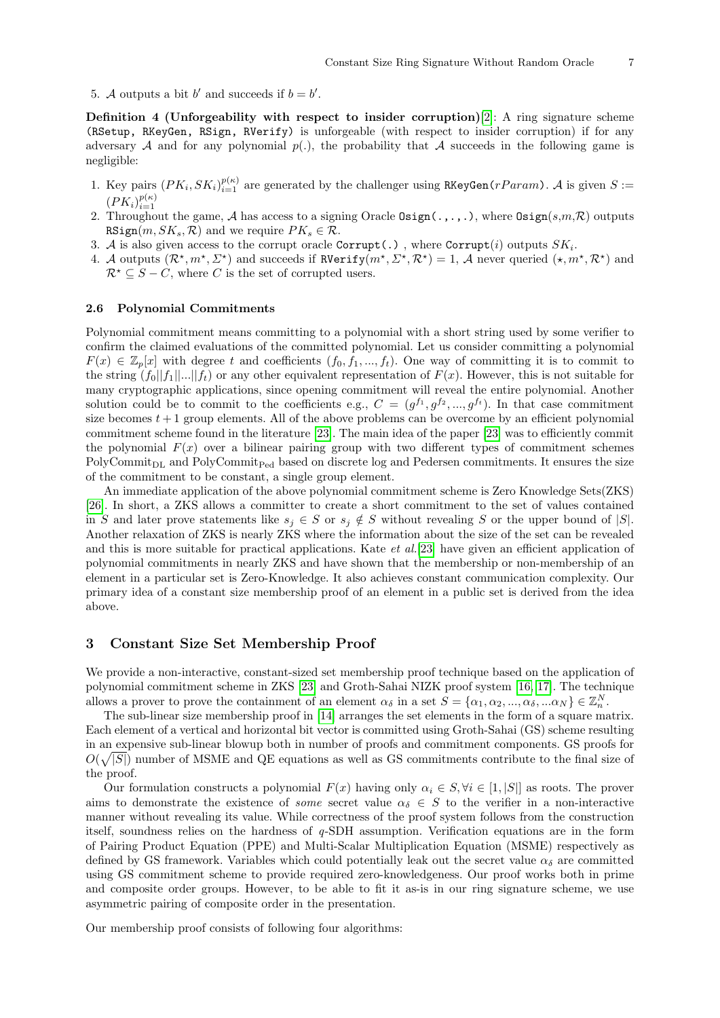5. A outputs a bit b' and succeeds if  $b = b'$ .

Definition 4 (Unforgeability with respect to insider corruption)[\[2\]](#page-12-1): A ring signature scheme (RSetup, RKeyGen, RSign, RVerify) is unforgeable (with respect to insider corruption) if for any adversary A and for any polynomial  $p(.)$ , the probability that A succeeds in the following game is negligible:

- 1. Key pairs  $(PK_i, SK_i)_{i=1}^{p(\kappa)}$  are generated by the challenger using RKeyGen(rParam). A is given S :=  $(PK_i)_{i=1}^{p(\kappa)}$
- 2. Throughout the game, A has access to a signing Oracle Osign $(.,.,.),$  where Osign $(s,m,\mathcal{R})$  outputs RSign $(m, SK_s, \mathcal{R})$  and we require  $PK_s \in \mathcal{R}$ .
- 3. A is also given access to the corrupt oracle  $\texttt{Corrupt}(.)$  , where  $\texttt{Corrupt}(i)$  outputs  $SK_i$ .
- 4. A outputs  $(\mathcal{R}^\star,m^\star,\Sigma^\star)$  and succeeds if  $R\text{Verify}(m^\star,\Sigma^\star,\mathcal{R}^\star)=1$ , A never queried  $(\star,m^\star,\mathcal{R}^\star)$  and  $\mathcal{R}^{\star} \subseteq S - C$ , where C is the set of corrupted users.

#### 2.6 Polynomial Commitments

Polynomial commitment means committing to a polynomial with a short string used by some verifier to confirm the claimed evaluations of the committed polynomial. Let us consider committing a polynomial  $F(x) \in \mathbb{Z}_p[x]$  with degree t and coefficients  $(f_0, f_1, ..., f_t)$ . One way of committing it is to commit to the string  $(f_0||f_1||...||f_t)$  or any other equivalent representation of  $F(x)$ . However, this is not suitable for many cryptographic applications, since opening commitment will reveal the entire polynomial. Another solution could be to commit to the coefficients e.g.,  $C = (g^{f_1}, g^{f_2}, ..., g^{f_t})$ . In that case commitment size becomes  $t + 1$  group elements. All of the above problems can be overcome by an efficient polynomial commitment scheme found in the literature [\[23\]](#page-12-21). The main idea of the paper [\[23\]](#page-12-21) was to efficiently commit the polynomial  $F(x)$  over a bilinear pairing group with two different types of commitment schemes PolyCommit<sub>DL</sub> and PolyCommit<sub>Ped</sub> based on discrete log and Pedersen commitments. It ensures the size of the commitment to be constant, a single group element.

An immediate application of the above polynomial commitment scheme is Zero Knowledge Sets(ZKS) [\[26\]](#page-12-22). In short, a ZKS allows a committer to create a short commitment to the set of values contained in S and later prove statements like  $s_j \in S$  or  $s_j \notin S$  without revealing S or the upper bound of  $|S|$ . Another relaxation of ZKS is nearly ZKS where the information about the size of the set can be revealed and this is more suitable for practical applications. Kate *et al.*[\[23\]](#page-12-21) have given an efficient application of polynomial commitments in nearly ZKS and have shown that the membership or non-membership of an element in a particular set is Zero-Knowledge. It also achieves constant communication complexity. Our primary idea of a constant size membership proof of an element in a public set is derived from the idea above.

### <span id="page-6-0"></span>3 Constant Size Set Membership Proof

We provide a non-interactive, constant-sized set membership proof technique based on the application of polynomial commitment scheme in ZKS [\[23\]](#page-12-21) and Groth-Sahai NIZK proof system [\[16,](#page-12-13) [17\]](#page-12-18). The technique allows a prover to prove the containment of an element  $\alpha_{\delta}$  in a set  $S = {\alpha_1, \alpha_2, ..., \alpha_{\delta}, ... \alpha_N} \in \mathbb{Z}_{n}^{N}$ .

The sub-linear size membership proof in [\[14\]](#page-12-11) arranges the set elements in the form of a square matrix. Each element of a vertical and horizontal bit vector is committed using Groth-Sahai (GS) scheme resulting in an expensive sub-linear blowup both in number of proofs and commitment components. GS proofs for  $O(\sqrt{|S|})$  number of MSME and QE equations as well as GS commitments contribute to the final size of the proof.

Our formulation constructs a polynomial  $F(x)$  having only  $\alpha_i \in S, \forall i \in [1, |S|]$  as roots. The prover aims to demonstrate the existence of *some* secret value  $\alpha_{\delta} \in S$  to the verifier in a non-interactive manner without revealing its value. While correctness of the proof system follows from the construction itself, soundness relies on the hardness of q-SDH assumption. Verification equations are in the form of Pairing Product Equation (PPE) and Multi-Scalar Multiplication Equation (MSME) respectively as defined by GS framework. Variables which could potentially leak out the secret value  $\alpha_{\delta}$  are committed using GS commitment scheme to provide required zero-knowledgeness. Our proof works both in prime and composite order groups. However, to be able to fit it as-is in our ring signature scheme, we use asymmetric pairing of composite order in the presentation.

Our membership proof consists of following four algorithms: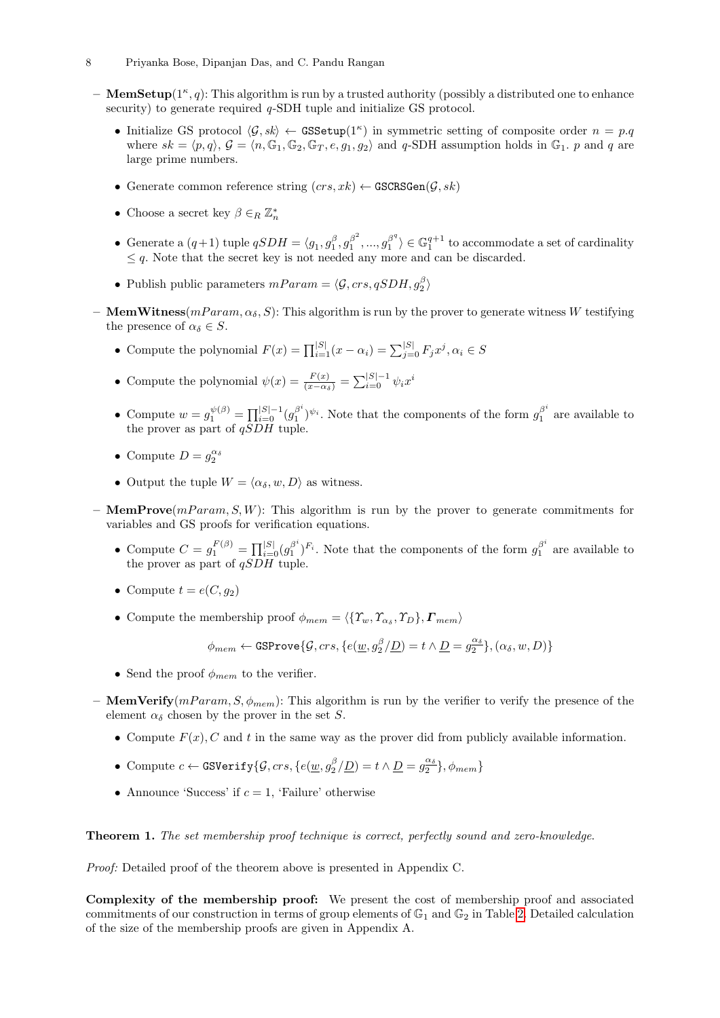- 8 Priyanka Bose, Dipanjan Das, and C. Pandu Rangan
	- $-$  MemSetup( $1^{\kappa}, q$ ): This algorithm is run by a trusted authority (possibly a distributed one to enhance security) to generate required *q*-SDH tuple and initialize GS protocol.
		- Initialize GS protocol  $\langle \mathcal{G}, sk \rangle \leftarrow$  GSSetup(1<sup>k</sup>) in symmetric setting of composite order  $n = p.q$ where  $sk = \langle p, q \rangle$ ,  $\mathcal{G} = \langle n, \mathbb{G}_1, \mathbb{G}_2, \mathbb{G}_T, e, g_1, g_2 \rangle$  and q-SDH assumption holds in  $\mathbb{G}_1$ . p and q are large prime numbers.
		- Generate common reference string  $(crs, xk) \leftarrow$  GSCRSGen $(G, sk)$
		- Choose a secret key  $\beta \in_R \mathbb{Z}_n^*$
		- Generate a  $(q+1)$  tuple  $qSDH = \langle g_1, g_1^{\beta}, g_1^{\beta^2} \rangle$  $g_1^{\beta^2},...,g_1^{\beta^q}$  $\binom{\beta^q}{1} \in \mathbb{G}_1^{q+1}$  to accommodate a set of cardinality  $\leq q$ . Note that the secret key is not needed any more and can be discarded.
		- Publish public parameters  $mParam = \langle \mathcal{G}, crs, qSDH, g_{2}^{\beta} \rangle$
- MemWitness $(mParam, \alpha_{\delta}, S)$ : This algorithm is run by the prover to generate witness W testifying the presence of  $\alpha_{\delta} \in S$ .
	- Compute the polynomial  $F(x) = \prod_{i=1}^{|S|} (x \alpha_i) = \sum_{j=0}^{|S|} F_j x^j, \alpha_i \in S$
	- Compute the polynomial  $\psi(x) = \frac{F(x)}{(x-\alpha_{\delta})} = \sum_{i=0}^{|S|-1} \psi_i x^i$
	- Compute  $w = g_1^{\psi(\beta)} = \prod_{i=0}^{|S|-1} (g_1^{\beta^i})$  $\beta^i_{1}$ <sup> $\psi_i$ </sup>. Note that the components of the form  $g_1^{\beta^i}$  $v_1^p$  are available to the prover as part of  $qSDH$  tuple.
	- Compute  $D = g_2^{\alpha_{\delta}}$
	- Output the tuple  $W = \langle \alpha_{\delta}, w, D \rangle$  as witness.
- **MemProve** $(mParam, S, W)$ : This algorithm is run by the prover to generate commitments for variables and GS proofs for verification equations.
	- Compute  $C = g_1^{F(\beta)} = \prod_{i=0}^{|S|} (g_1^{\beta^i})$  $\beta^{i}_{1}$ , Note that the components of the form  $g_{1}^{\beta^{i}}$  $n_1^{\beta}$  are available to the prover as part of  $qSDH$  tuple.
	- Compute  $t = e(C, q_2)$
	- Compute the membership proof  $\phi_{mem} = \langle {\{T_w, T_{\alpha_s}, T_D\}, F_{mem}} \rangle$

$$
\phi_{mem} \leftarrow \texttt{GSProve}\{\mathcal{G},crs,\{e(\underline{w},g_2^\beta/\underline{D})=t \wedge \underline{D}=g_2^{\alpha_\delta}\}, (\alpha_\delta,w,D)\}
$$

- Send the proof  $\phi_{mem}$  to the verifier.
- MemVerify $(mParam, S, \phi_{mem})$ : This algorithm is run by the verifier to verify the presence of the element  $\alpha_{\delta}$  chosen by the prover in the set S.
	- Compute  $F(x)$ , C and t in the same way as the prover did from publicly available information.
	- Compute  $c \leftarrow \texttt{GSVerify}\{\mathcal{G},crs,\{e(\underline{w},g_2^\beta/\underline{D})=t \wedge \underline{D}=g_2^{\alpha_\delta}\}$  $\{\frac{\alpha_{\delta}}{2}\}, \phi_{mem}\}$
	- Announce 'Success' if  $c = 1$ , 'Failure' otherwise

Theorem 1. The set membership proof technique is correct, perfectly sound and zero-knowledge.

Proof: Detailed proof of the theorem above is presented in Appendix C.

Complexity of the membership proof: We present the cost of membership proof and associated commitments of our construction in terms of group elements of  $\mathbb{G}_1$  and  $\mathbb{G}_2$  in Table [2.](#page-8-1) Detailed calculation of the size of the membership proofs are given in Appendix A.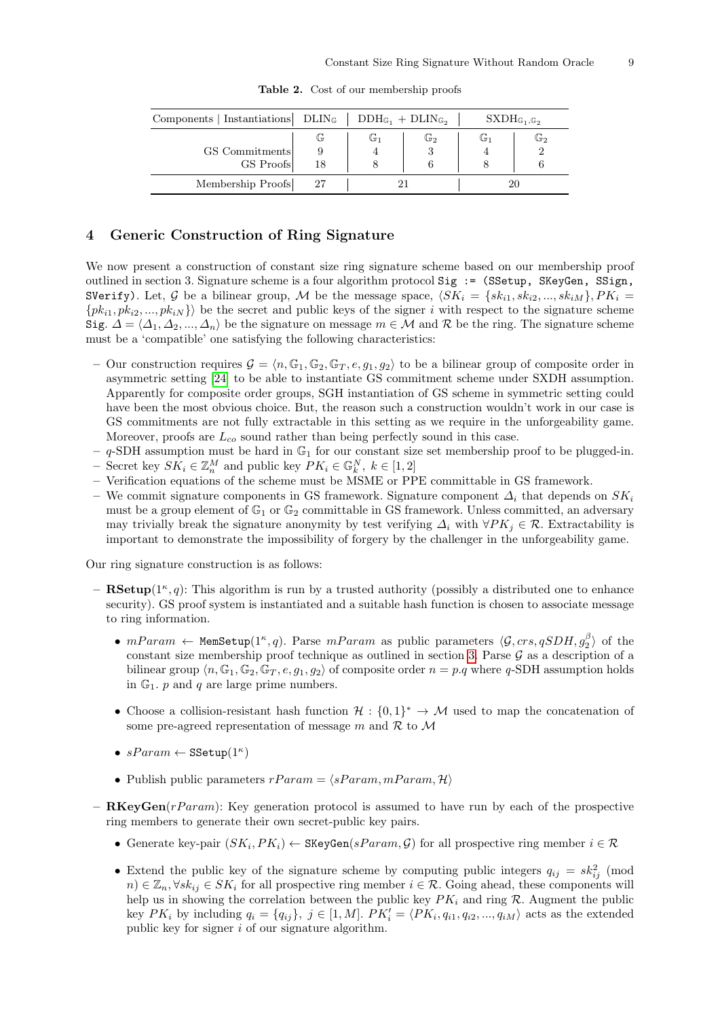<span id="page-8-1"></span>

| Components   Instantiations   DLIN <sub>G</sub>   DDH <sub>G<sub>1</sub></sub> + DLIN <sub>G<sub>2</sub></sub> |     |    |                |    | $SXDH_{\mathbb{G}_1,\mathbb{G}_2}$ |
|----------------------------------------------------------------------------------------------------------------|-----|----|----------------|----|------------------------------------|
|                                                                                                                | G   | G1 | $\mathbb{G}_2$ | G1 | $\mathbb{G}_2$                     |
| GS Commitments                                                                                                 |     |    | ω              |    |                                    |
| GS Proofs                                                                                                      | 18  |    |                |    |                                    |
| Membership Proofs                                                                                              | -27 |    |                |    |                                    |

Table 2. Cost of our membership proofs

# <span id="page-8-0"></span>4 Generic Construction of Ring Signature

We now present a construction of constant size ring signature scheme based on our membership proof outlined in section 3. Signature scheme is a four algorithm protocol Sig := (SSetup, SKeyGen, SSign, SVerify). Let, G be a bilinear group, M be the message space,  $\langle SK_i = \{sk_{i1}, sk_{i2}, ..., sk_{iM}\}, PK_i =$  $\{pk_{i1}, pk_{i2}, ..., pk_{iN}\}\$  be the secret and public keys of the signer i with respect to the signature scheme Sig.  $\Delta = \langle \Delta_1, \Delta_2, ..., \Delta_n \rangle$  be the signature on message  $m \in \mathcal{M}$  and R be the ring. The signature scheme must be a 'compatible' one satisfying the following characteristics:

- Our construction requires  $\mathcal{G} = \langle n, \mathbb{G}_1, \mathbb{G}_2, \mathbb{G}_T, e, q_1, q_2 \rangle$  to be a bilinear group of composite order in asymmetric setting [\[24\]](#page-12-15) to be able to instantiate GS commitment scheme under SXDH assumption. Apparently for composite order groups, SGH instantiation of GS scheme in symmetric setting could have been the most obvious choice. But, the reason such a construction wouldn't work in our case is GS commitments are not fully extractable in this setting as we require in the unforgeability game. Moreover, proofs are  $L_{co}$  sound rather than being perfectly sound in this case.
- $-$  q-SDH assumption must be hard in  $\mathbb{G}_1$  for our constant size set membership proof to be plugged-in.
- − Secret key  $SK_i \in \mathbb{Z}_n^M$  and public key  $PK_i \in \mathbb{G}_k^N$ ,  $k \in [1,2]$
- Verification equations of the scheme must be MSME or PPE committable in GS framework.
- We commit signature components in GS framework. Signature component  $\Delta_i$  that depends on  $SK_i$ must be a group element of  $\mathbb{G}_1$  or  $\mathbb{G}_2$  committable in GS framework. Unless committed, an adversary may trivially break the signature anonymity by test verifying  $\Delta_i$  with  $\forall PK_i \in \mathcal{R}$ . Extractability is important to demonstrate the impossibility of forgery by the challenger in the unforgeability game.

Our ring signature construction is as follows:

- $-$  **RSetup**( $1^{\kappa}, q$ ): This algorithm is run by a trusted authority (possibly a distributed one to enhance security). GS proof system is instantiated and a suitable hash function is chosen to associate message to ring information.
	- $mParam \leftarrow \text{MemSetup}(1^{\kappa}, q)$ . Parse  $mParam$  as public parameters  $\langle \mathcal{G}, crs, qSDH, g_2^{\beta} \rangle$  of the constant size membership proof technique as outlined in section [3.](#page-6-0) Parse  $\mathcal G$  as a description of a bilinear group  $\langle n, \mathbb{G}_1, \mathbb{G}_2, \mathbb{G}_T, e, q_1, q_2 \rangle$  of composite order  $n = p.q$  where q-SDH assumption holds in  $\mathbb{G}_1$ . p and q are large prime numbers.
	- Choose a collision-resistant hash function  $\mathcal{H}: \{0,1\}^* \to \mathcal{M}$  used to map the concatenation of some pre-agreed representation of message m and  $\mathcal R$  to  $\mathcal M$
	- $sParam \leftarrow \texttt{SSetup}(1^\kappa)$
	- Publish public parameters  $rParam = \langle sParam, mParam, \mathcal{H} \rangle$
- $\mathbf{RKeyGen}(rParam)$ : Key generation protocol is assumed to have run by each of the prospective ring members to generate their own secret-public key pairs.
	- Generate key-pair  $(SK_i, PK_i) \leftarrow \text{SKeyGen}(sParam, \mathcal{G})$  for all prospective ring member  $i \in \mathcal{R}$
	- Extend the public key of the signature scheme by computing public integers  $q_{ij} = sk_{ij}^2$  (mod  $n) \in \mathbb{Z}_n, \forall s k_{ij} \in SK_i$  for all prospective ring member  $i \in \mathcal{R}$ . Going ahead, these components will help us in showing the correlation between the public key  $PK_i$  and ring  $R$ . Augment the public key  $PK_i$  by including  $q_i = \{q_{ij}\}, \ j \in [1, M]$ .  $PK'_i = \langle PK_i, q_{i1}, q_{i2}, ..., q_{iM} \rangle$  acts as the extended public key for signer i of our signature algorithm.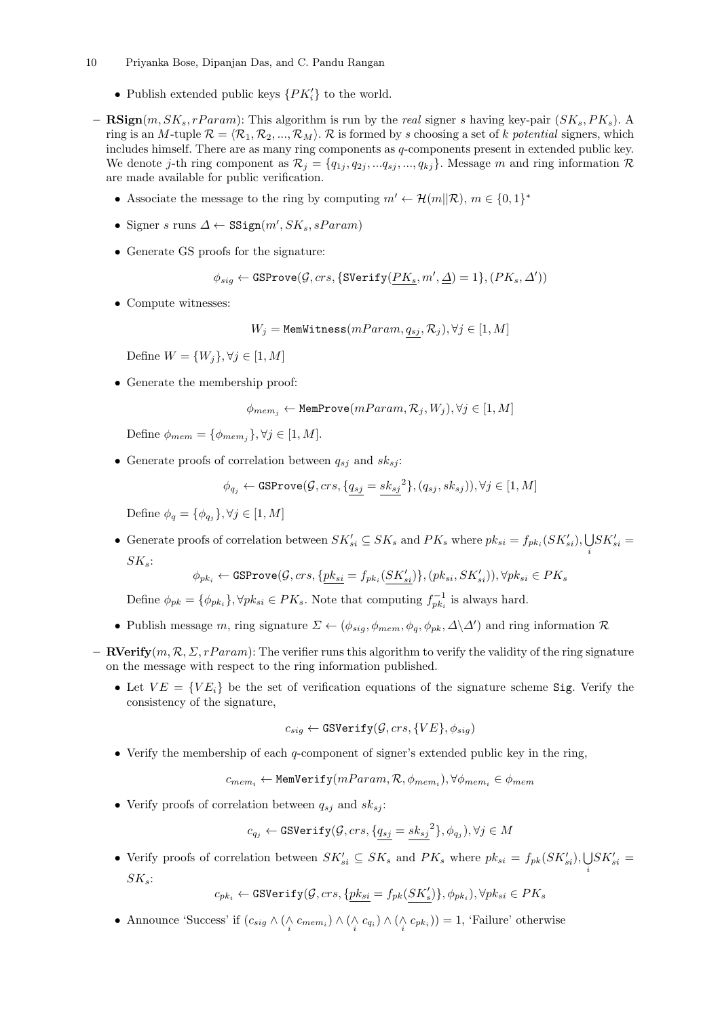- 10 Priyanka Bose, Dipanjan Das, and C. Pandu Rangan
	- Publish extended public keys  $\{PK_i'\}$  to the world.
- $\mathbf{RSign}(m, SK_s, rParam)$ : This algorithm is run by the real signer s having key-pair  $(SK_s, PK_s)$ . A ring is an M-tuple  $\mathcal{R} = \langle \mathcal{R}_1, \mathcal{R}_2, ..., \mathcal{R}_M \rangle$ . R is formed by s choosing a set of k potential signers, which includes himself. There are as many ring components as q-components present in extended public key. We denote j-th ring component as  $\mathcal{R}_j = \{q_{1j}, q_{2j}, ..., q_{sj}, ..., q_{kj}\}\$ . Message m and ring information  $\mathcal{R}_j$ are made available for public verification.
	- Associate the message to the ring by computing  $m' \leftarrow \mathcal{H}(m||\mathcal{R}), m \in \{0,1\}^*$
	- Signer s runs  $\Delta \leftarrow \texttt{SSign}(m', SK_s, sParam)$
	- Generate GS proofs for the signature:

$$
\phi_{sig} \leftarrow \texttt{GSProve}(\mathcal{G}, crs, \{\texttt{SVerify}(PK_s, m', \underline{\Delta}) = 1\}, (PK_s, \Delta'))
$$

• Compute witnesses:

 $W_j =$  MemWitness $(mParam, q_{sj}, R_j), \forall j \in [1, M]$ 

Define  $W = \{W_i\}, \forall j \in [1, M]$ 

• Generate the membership proof:

$$
\phi_{mem_j} \leftarrow \texttt{MemProve}(mParam, \mathcal{R}_j, W_j), \forall j \in [1, M]
$$

Define  $\phi_{mem} = {\phi_{mem}}$ ,  $\forall j \in [1, M]$ .

• Generate proofs of correlation between  $q_{sj}$  and  $sk_{sj}$ :

$$
\phi_{q_j} \leftarrow \texttt{GSProve}(\mathcal{G},crs,\{q_{sj}=sk_{sj}^2\},(q_{sj},sk_{sj})),\forall j \in [1,M]
$$

Define  $\phi_q = \{\phi_{q_j}\}, \forall j \in [1, M]$ 

• Generate proofs of correlation between  $SK'_{si} \subseteq SK_s$  and  $PK_s$  where  $pk_{si} = f_{pk_i}(SK'_{si}), \bigcup$ i  $SK'_{si} =$  $SK_s$ :

$$
\phi_{pk_i} \leftarrow \texttt{GSProve}(\mathcal{G},crs,\{\underline{pk_{si}}=f_{pk_i}(SK'_{si})\},(pk_{si},SK'_{si})), \forall pk_{si} \in PK_s
$$

Define  $\phi_{pk} = \{\phi_{pk_i}\}, \forall pk_{si} \in PK_s$ . Note that computing  $f_{pk_i}^{-1}$  is always hard.

- Publish message m, ring signature  $\Sigma \leftarrow (\phi_{sig}, \phi_{mem}, \phi_q, \phi_{pk}, \Delta \backslash \Delta')$  and ring information  $\mathcal{R}$
- **RVerify** $(m, \mathcal{R}, \Sigma, rParam)$ : The verifier runs this algorithm to verify the validity of the ring signature on the message with respect to the ring information published.
	- Let  $VE = \{VE_i\}$  be the set of verification equations of the signature scheme Sig. Verify the consistency of the signature,

$$
c_{sig} \leftarrow \texttt{GSVerify}(\mathcal{G},crs,\{VE\},\phi_{sig})
$$

• Verify the membership of each q-component of signer's extended public key in the ring,

 $c_{mem_i} \leftarrow \texttt{MemVerify}(mParam, \mathcal{R}, \phi_{mem_i}), \forall \phi_{mem_i} \in \phi_{mem}$ 

• Verify proofs of correlation between  $q_{sj}$  and  $sk_{sj}$ :

$$
c_{q_j} \leftarrow \texttt{GSVerify}(\mathcal{G},crs,\{\underline{q_{sj}}=\underline{sk_{sj}}^2\},\phi_{q_j}), \forall j \in M
$$

• Verify proofs of correlation between  $SK'_{si} \subseteq SK_s$  and  $PK_s$  where  $pk_{si} = f_{pk}(SK'_{si}), \bigcup$ i  $SK'_{si} =$  $SK_s$ :

 $c_{pk_i} \leftarrow \texttt{GSVerify}(\mathcal{G},crs,\{\underline{pk_{si}}=f_{pk}(SK'_s)\},\phi_{pk_i}), \forall pk_{si} \in PK_s$ 

• Announce 'Success' if  $(c_{sig} \wedge (\wedge_{i} c_{mem_i}) \wedge (\wedge_{i} c_{qi}) \wedge (\wedge_{i} c_{pk_i})) = 1$ , 'Failure' otherwise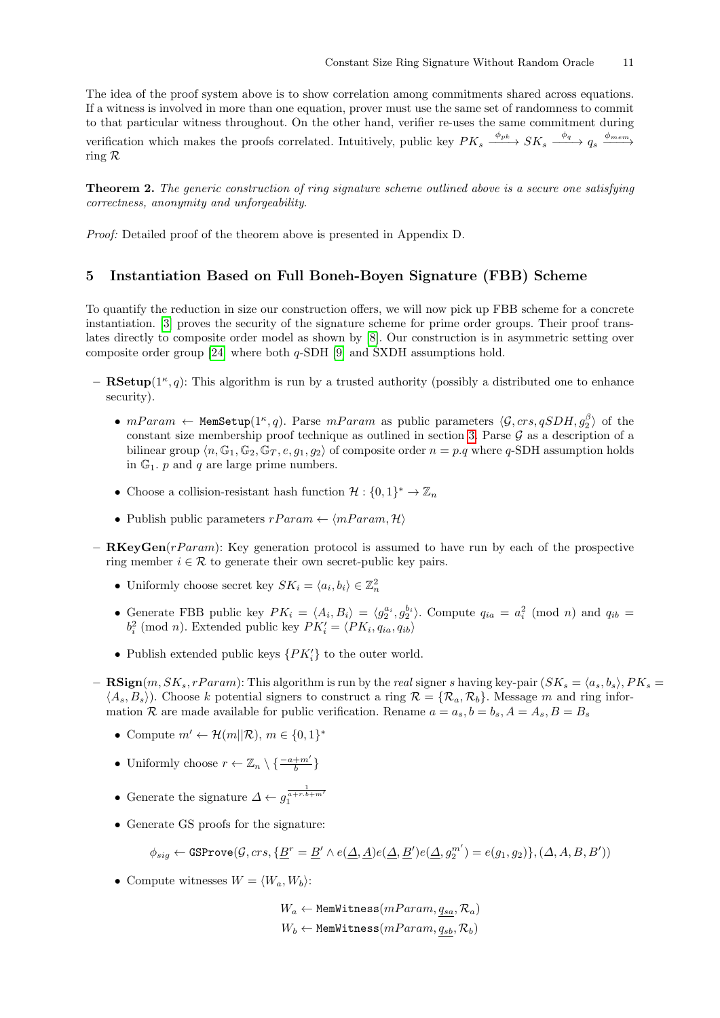The idea of the proof system above is to show correlation among commitments shared across equations. If a witness is involved in more than one equation, prover must use the same set of randomness to commit to that particular witness throughout. On the other hand, verifier re-uses the same commitment during verification which makes the proofs correlated. Intuitively, public key  $PK_s \xrightarrow{\phi_{pk}} SK_s \xrightarrow{\phi_q} q_s \xrightarrow{\phi_{mem}}$ ring R

**Theorem 2.** The generic construction of ring signature scheme outlined above is a secure one satisfying correctness, anonymity and unforgeability.

Proof: Detailed proof of the theorem above is presented in Appendix D.

### <span id="page-10-0"></span>5 Instantiation Based on Full Boneh-Boyen Signature (FBB) Scheme

To quantify the reduction in size our construction offers, we will now pick up FBB scheme for a concrete instantiation. [\[3\]](#page-12-12) proves the security of the signature scheme for prime order groups. Their proof translates directly to composite order model as shown by [\[8\]](#page-12-10). Our construction is in asymmetric setting over composite order group [\[24\]](#page-12-15) where both  $q$ -SDH [\[9\]](#page-12-16) and SXDH assumptions hold.

- $-$  **RSetup**( $1^{\kappa}, q$ ): This algorithm is run by a trusted authority (possibly a distributed one to enhance security).
	- $mParam \leftarrow \text{MemSetup}(1^{\kappa}, q)$ . Parse  $mParam$  as public parameters  $\langle \mathcal{G}, crs, qSDH, g_2^{\beta} \rangle$  of the constant size membership proof technique as outlined in section [3.](#page-6-0) Parse  $\mathcal G$  as a description of a bilinear group  $\langle n, \mathbb{G}_1, \mathbb{G}_2, \mathbb{G}_T, e, q_1, q_2 \rangle$  of composite order  $n = p.q$  where q-SDH assumption holds in  $\mathbb{G}_1$ . p and q are large prime numbers.
	- Choose a collision-resistant hash function  $\mathcal{H}: \{0,1\}^* \to \mathbb{Z}_n$
	- Publish public parameters  $rParam \leftarrow \langle mParam, \mathcal{H} \rangle$
- $\mathbf{R}$ KeyGen(rParam): Key generation protocol is assumed to have run by each of the prospective ring member  $i \in \mathcal{R}$  to generate their own secret-public key pairs.
	- Uniformly choose secret key  $SK_i = \langle a_i, b_i \rangle \in \mathbb{Z}_n^2$
	- Generate FBB public key  $PK_i = \langle A_i, B_i \rangle = \langle g_2^{a_i}, g_2^{b_i} \rangle$ . Compute  $q_{ia} = a_i^2 \pmod{n}$  and  $q_{ib} = a_i^2 \pmod{n}$  $b_i^2$  (mod *n*). Extended public key  $PK_i' = \langle PK_i, q_{ia}, q_{ib} \rangle$
	- Publish extended public keys  $\{PK_i'\}$  to the outer world.
- $\text{RSign}(m, SK_s, rParam)$ : This algorithm is run by the real signer s having key-pair  $(SK_s = \langle a_s, b_s \rangle, PK_s =$  $\langle A_s, B_s \rangle$ . Choose k potential signers to construct a ring  $\mathcal{R} = \{ \mathcal{R}_a, \mathcal{R}_b \}$ . Message m and ring information R are made available for public verification. Rename  $a = a_s, b = b_s, A = A_s, B = B_s$ 
	- Compute  $m' \leftarrow \mathcal{H}(m||\mathcal{R}), m \in \{0,1\}^*$
	- Uniformly choose  $r \leftarrow \mathbb{Z}_n \setminus \{\frac{-a+m'}{b}\}$
	- Generate the signature  $\Delta \leftarrow g_1^{\frac{1}{a+r\cdot b+m'}}$
	- Generate GS proofs for the signature:

$$
\phi_{sig} \leftarrow \texttt{GSProve}(\mathcal{G},crs,\{\underline{B}^r = \underline{B}' \wedge e(\underline{\Delta},\underline{A}) e(\underline{\Delta},\underline{B}')e(\underline{\Delta},g_2^{m'}) = e(g_1,g_2)\}, (\Delta,A,B,B'))
$$

• Compute witnesses  $W = \langle W_a, W_b \rangle$ :

 $W_a \leftarrow$  MemWitness $(mParam, q_{sa}, \mathcal{R}_a)$  $W_b \leftarrow$  MemWitness $(mParam, q_{sb}, \mathcal{R}_b)$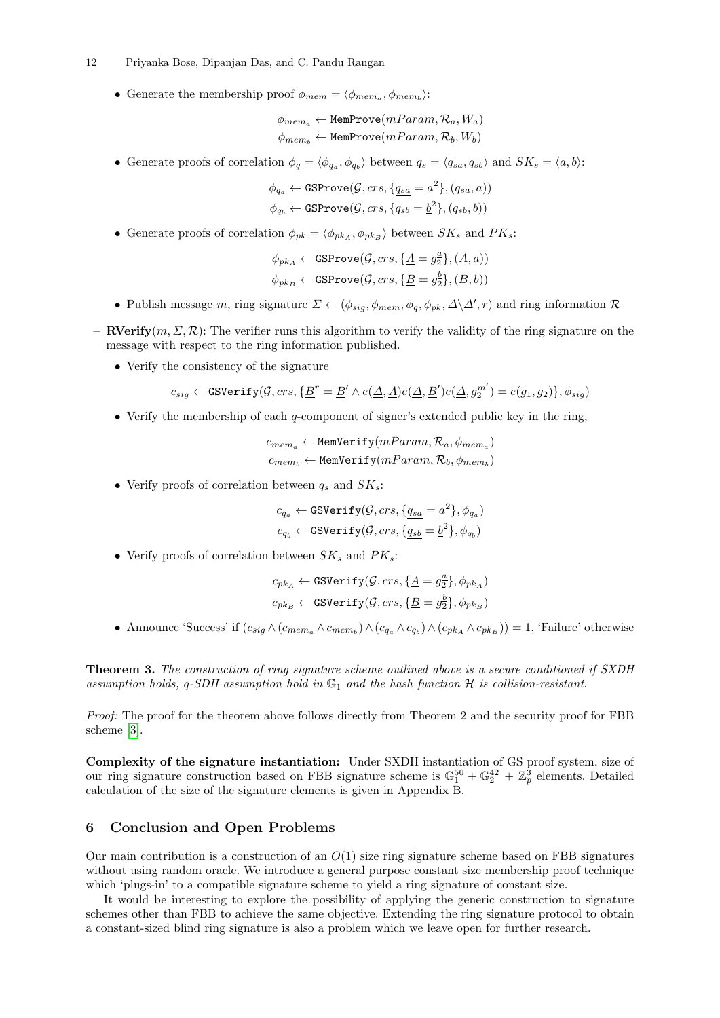#### 12 Priyanka Bose, Dipanjan Das, and C. Pandu Rangan

• Generate the membership proof  $\phi_{mem} = \langle \phi_{mem_a}, \phi_{mem_b} \rangle$ :

$$
\phi_{mem_a} \leftarrow \texttt{MemProve}(mParam, \mathcal{R}_a, W_a)
$$

$$
\phi_{mem_b} \leftarrow \texttt{MemProve}(mParam, \mathcal{R}_b, W_b)
$$

• Generate proofs of correlation  $\phi_q = \langle \phi_{q_a}, \phi_{q_b} \rangle$  between  $q_s = \langle q_{sa}, q_{sb} \rangle$  and  $SK_s = \langle a, b \rangle$ :

$$
\phi_{q_a} \leftarrow \texttt{GSProve}(\mathcal{G}, crs, \{q_{sa} = \underline{a}^2\}, (q_{sa}, a))
$$

$$
\phi_{q_b} \leftarrow \texttt{GSProve}(\mathcal{G}, crs, \{q_{sb} = \underline{b}^2\}, (q_{sb}, b))
$$

• Generate proofs of correlation  $\phi_{pk} = \langle \phi_{pk_A}, \phi_{pk_B} \rangle$  between  $SK_s$  and  $PK_s$ :

$$
\phi_{pkA} \leftarrow \texttt{GSProve}(\mathcal{G},crs,\{\underline{A} = g_2^{\underline{a}}\},(A,a))
$$

$$
\phi_{pkB} \leftarrow \texttt{GSProve}(\mathcal{G},crs,\{\underline{B} = g_2^{\underline{b}}\},(B,b))
$$

- Publish message m, ring signature  $\Sigma \leftarrow (\phi_{sig}, \phi_{mem}, \phi_q, \phi_{pk}, \Delta \backslash \Delta', r)$  and ring information  $\mathcal{R}$
- **RVerify** $(m, \Sigma, \mathcal{R})$ : The verifier runs this algorithm to verify the validity of the ring signature on the message with respect to the ring information published.
	- Verify the consistency of the signature

$$
c_{sig} \leftarrow \texttt{GSVerify}(\mathcal{G},crs,\{\underline{B}^r = \underline{B}' \wedge e(\underline{\Delta},\underline{A})e(\underline{\Delta},\underline{B}')e(\underline{\Delta},g_2^{m'}) = e(g_1,g_2)\},\phi_{sig})
$$

• Verify the membership of each q-component of signer's extended public key in the ring,

$$
c_{mem_a} \leftarrow \text{MemVerify}(mParam, \mathcal{R}_a, \phi_{mem_a})
$$

$$
c_{mem_b} \leftarrow \text{MemVerify}(mParam, \mathcal{R}_b, \phi_{mem_b})
$$

• Verify proofs of correlation between  $q_s$  and  $SK_s$ :

$$
c_{q_a} \leftarrow \texttt{GSVerify}(\mathcal{G}, crs, \{q_{sa} = \underline{a}^2\}, \phi_{q_a})
$$
  

$$
c_{q_b} \leftarrow \texttt{GSVerify}(\mathcal{G}, crs, \{q_{sb} = \underline{b}^2\}, \phi_{q_b})
$$

• Verify proofs of correlation between  $SK_s$  and  $PK_s$ :

$$
c_{pk_A} \leftarrow \texttt{GSVerify}(\mathcal{G},crs,\{\underline{A} = g_2^a\},\phi_{pk_A})
$$
  

$$
c_{pk_B} \leftarrow \texttt{GSVerify}(\mathcal{G},crs,\{\underline{B} = g_2^b\},\phi_{pk_B})
$$

• Announce 'Success' if  $(c_{sig} \wedge (c_{mem_a} \wedge c_{mem_b}) \wedge (c_{q_a} \wedge c_{q_b}) \wedge (c_{pk_A} \wedge c_{pk_B})) = 1$ , 'Failure' otherwise

Theorem 3. The construction of ring signature scheme outlined above is a secure conditioned if SXDH assumption holds, q-SDH assumption hold in  $\mathbb{G}_1$  and the hash function H is collision-resistant.

Proof: The proof for the theorem above follows directly from Theorem 2 and the security proof for FBB scheme [\[3\]](#page-12-12).

Complexity of the signature instantiation: Under SXDH instantiation of GS proof system, size of our ring signature construction based on FBB signature scheme is  $\mathbb{G}_1^{50} + \mathbb{G}_2^{42} + \mathbb{Z}_p^3$  elements. Detailed calculation of the size of the signature elements is given in Appendix B.

### <span id="page-11-0"></span>6 Conclusion and Open Problems

Our main contribution is a construction of an  $O(1)$  size ring signature scheme based on FBB signatures without using random oracle. We introduce a general purpose constant size membership proof technique which 'plugs-in' to a compatible signature scheme to yield a ring signature of constant size.

It would be interesting to explore the possibility of applying the generic construction to signature schemes other than FBB to achieve the same objective. Extending the ring signature protocol to obtain a constant-sized blind ring signature is also a problem which we leave open for further research.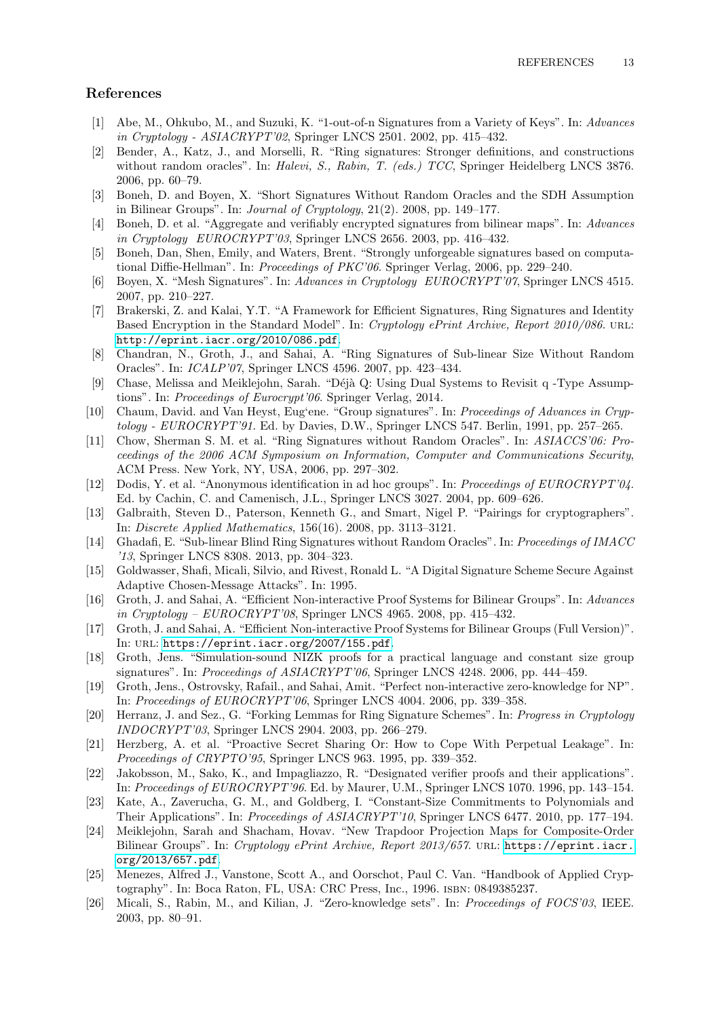# References

- <span id="page-12-4"></span>[1] Abe, M., Ohkubo, M., and Suzuki, K. "1-out-of-n Signatures from a Variety of Keys". In: Advances in Cryptology - ASIACRYPT'02, Springer LNCS 2501. 2002, pp. 415–432.
- <span id="page-12-1"></span>[2] Bender, A., Katz, J., and Morselli, R. "Ring signatures: Stronger definitions, and constructions without random oracles". In: Halevi, S., Rabin, T. (eds.) TCC, Springer Heidelberg LNCS 3876. 2006, pp. 60–79.
- <span id="page-12-12"></span>[3] Boneh, D. and Boyen, X. "Short Signatures Without Random Oracles and the SDH Assumption in Bilinear Groups". In: Journal of Cryptology, 21(2). 2008, pp. 149–177.
- <span id="page-12-5"></span>[4] Boneh, D. et al. "Aggregate and verifiably encrypted signatures from bilinear maps". In: Advances in Cryptology EUROCRYPT'03, Springer LNCS 2656. 2003, pp. 416–432.
- <span id="page-12-25"></span>[5] Boneh, Dan, Shen, Emily, and Waters, Brent. "Strongly unforgeable signatures based on computational Diffie-Hellman". In: *Proceedings of PKC'06*. Springer Verlag, 2006, pp. 229–240.
- <span id="page-12-8"></span>[6] Boyen, X. "Mesh Signatures". In: Advances in Cryptology EUROCRYPT'07, Springer LNCS 4515. 2007, pp. 210–227.
- <span id="page-12-9"></span>[7] Brakerski, Z. and Kalai, Y.T. "A Framework for Efficient Signatures, Ring Signatures and Identity Based Encryption in the Standard Model". In: Cryptology ePrint Archive, Report 2010/086. URL: <http://eprint.iacr.org/2010/086.pdf>.
- <span id="page-12-10"></span>[8] Chandran, N., Groth, J., and Sahai, A. "Ring Signatures of Sub-linear Size Without Random Oracles". In: ICALP'07, Springer LNCS 4596. 2007, pp. 423–434.
- <span id="page-12-16"></span>[9] Chase, Melissa and Meiklejohn, Sarah. "Déjà Q: Using Dual Systems to Revisit q -Type Assumptions". In: Proceedings of Eurocrypt'06. Springer Verlag, 2014.
- <span id="page-12-0"></span>[10] Chaum, David. and Van Heyst, Eug'ene. "Group signatures". In: Proceedings of Advances in Cryp $tology - EUROCRYPT'91$ . Ed. by Davies, D.W., Springer LNCS 547. Berlin, 1991, pp. 257–265.
- <span id="page-12-7"></span>[11] Chow, Sherman S. M. et al. "Ring Signatures without Random Oracles". In: ASIACCS'06: Proceedings of the 2006 ACM Symposium on Information, Computer and Communications Security, ACM Press. New York, NY, USA, 2006, pp. 297–302.
- <span id="page-12-3"></span>[12] Dodis, Y. et al. "Anonymous identification in ad hoc groups". In: Proceedings of EUROCRYPT'04. Ed. by Cachin, C. and Camenisch, J.L., Springer LNCS 3027. 2004, pp. 609–626.
- <span id="page-12-14"></span>[13] Galbraith, Steven D., Paterson, Kenneth G., and Smart, Nigel P. "Pairings for cryptographers". In: Discrete Applied Mathematics, 156(16). 2008, pp. 3113–3121.
- <span id="page-12-11"></span>[14] Ghadafi, E. "Sub-linear Blind Ring Signatures without Random Oracles". In: Proceedings of IMACC '13, Springer LNCS 8308. 2013, pp. 304–323.
- <span id="page-12-24"></span>[15] Goldwasser, Shafi, Micali, Silvio, and Rivest, Ronald L. "A Digital Signature Scheme Secure Against Adaptive Chosen-Message Attacks". In: 1995.
- <span id="page-12-13"></span>[16] Groth, J. and Sahai, A. "Efficient Non-interactive Proof Systems for Bilinear Groups". In: Advances in Cryptology – EUROCRYPT'08, Springer LNCS 4965. 2008, pp. 415–432.
- <span id="page-12-18"></span>[17] Groth, J. and Sahai, A. "Efficient Non-interactive Proof Systems for Bilinear Groups (Full Version)". In: URL: <https://eprint.iacr.org/2007/155.pdf>.
- <span id="page-12-20"></span>[18] Groth, Jens. "Simulation-sound NIZK proofs for a practical language and constant size group signatures". In: Proceedings of ASIACRYPT'06, Springer LNCS 4248. 2006, pp. 444–459.
- <span id="page-12-19"></span>[19] Groth, Jens., Ostrovsky, Rafail., and Sahai, Amit. "Perfect non-interactive zero-knowledge for NP". In: Proceedings of EUROCRYPT'06, Springer LNCS 4004. 2006, pp. 339–358.
- <span id="page-12-6"></span>[20] Herranz, J. and Sez., G. "Forking Lemmas for Ring Signature Schemes". In: Progress in Cryptology INDOCRYPT'03, Springer LNCS 2904. 2003, pp. 266–279.
- <span id="page-12-23"></span>[21] Herzberg, A. et al. "Proactive Secret Sharing Or: How to Cope With Perpetual Leakage". In: Proceedings of CRYPTO'95, Springer LNCS 963. 1995, pp. 339–352.
- <span id="page-12-2"></span>[22] Jakobsson, M., Sako, K., and Impagliazzo, R. "Designated verifier proofs and their applications". In: Proceedings of EUROCRYPT'96. Ed. by Maurer, U.M., Springer LNCS 1070. 1996, pp. 143–154.
- <span id="page-12-21"></span>[23] Kate, A., Zaverucha, G. M., and Goldberg, I. "Constant-Size Commitments to Polynomials and Their Applications". In: *Proceedings of ASIACRYPT'10*, Springer LNCS 6477. 2010, pp. 177–194.
- <span id="page-12-15"></span>[24] Meiklejohn, Sarah and Shacham, Hovav. "New Trapdoor Projection Maps for Composite-Order Bilinear Groups". In: Cryptology ePrint Archive, Report 2013/657. URL: [https://eprint.iacr.](https://eprint.iacr.org/2013/657.pdf) [org/2013/657.pdf](https://eprint.iacr.org/2013/657.pdf).
- <span id="page-12-17"></span>[25] Menezes, Alfred J., Vanstone, Scott A., and Oorschot, Paul C. Van. "Handbook of Applied Cryptography". In: Boca Raton, FL, USA: CRC Press, Inc., 1996. isbn: 0849385237.
- <span id="page-12-22"></span>[26] Micali, S., Rabin, M., and Kilian, J. "Zero-knowledge sets". In: Proceedings of FOCS'03, IEEE. 2003, pp. 80–91.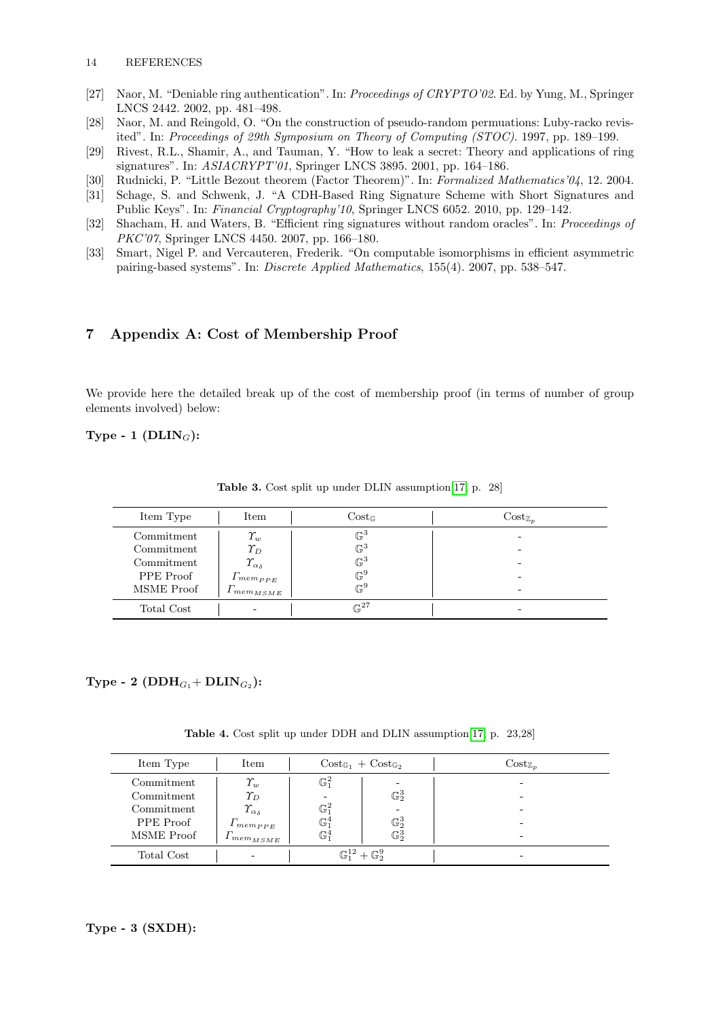- <span id="page-13-1"></span>[27] Naor, M. "Deniable ring authentication". In: Proceedings of CRYPTO'02. Ed. by Yung, M., Springer LNCS 2442. 2002, pp. 481–498.
- <span id="page-13-5"></span>[28] Naor, M. and Reingold, O. "On the construction of pseudo-random permuations: Luby-racko revisited". In: Proceedings of 29th Symposium on Theory of Computing (STOC). 1997, pp. 189–199.
- <span id="page-13-0"></span>[29] Rivest, R.L., Shamir, A., and Tauman, Y. "How to leak a secret: Theory and applications of ring signatures". In: ASIACRYPT'01, Springer LNCS 3895. 2001, pp. 164–186.
- <span id="page-13-6"></span>[30] Rudnicki, P. "Little Bezout theorem (Factor Theorem)". In: Formalized Mathematics'04, 12. 2004.
- <span id="page-13-3"></span>[31] Schage, S. and Schwenk, J. "A CDH-Based Ring Signature Scheme with Short Signatures and Public Keys". In: Financial Cryptography'10, Springer LNCS 6052. 2010, pp. 129–142.
- <span id="page-13-2"></span>[32] Shacham, H. and Waters, B. "Efficient ring signatures without random oracles". In: Proceedings of PKC'07, Springer LNCS 4450. 2007, pp. 166–180.
- <span id="page-13-4"></span>[33] Smart, Nigel P. and Vercauteren, Frederik. "On computable isomorphisms in efficient asymmetric pairing-based systems". In: Discrete Applied Mathematics, 155(4). 2007, pp. 538–547.

# 7 Appendix A: Cost of Membership Proof

We provide here the detailed break up of the cost of membership proof (in terms of number of group elements involved) below:

# Type - 1 ( $DLIN_G$ ):

| Item Type  | Item                            | $Cost_{\mathbb{G}}$ | $Cost_{\mathbb{Z}_n}$ |
|------------|---------------------------------|---------------------|-----------------------|
| Commitment | $\varUpsilon_w$                 | $\mathbb{G}^3$      | -                     |
| Commitment | $\varUpsilon_D$                 | $\mathbb{G}^3$      | -                     |
| Commitment | $\varUpsilon_{\alpha_{\delta}}$ | $\mathbb{G}^3$      |                       |
| PPE Proof  | $1$ mempp <sub>E</sub>          | $\mathbb{G}^9$      | -                     |
| MSME Proof | $1$ mem $_{MSME}$               | $\mathbb{G}^9$      | -                     |
| Total Cost | -                               | $\mathbb{G}^{27}$   | -                     |

Table 3. Cost split up under DLIN assumption[\[17,](#page-12-18) p. 28]

# $\mathrm{Type}$  -  $\mathrm{2} \; (\mathrm{DDH}_{G_1}\!+\mathrm{DLIN}_{G_2})$ :

Table 4. Cost split up under DDH and DLIN assumption[\[17,](#page-12-18) p. 23,28]

| Item Type  | Item                            | $\text{Cost}_{\mathbb{G}_1} + \text{Cost}_{\mathbb{G}_2}$ |                                      | $Cost_{\mathbb{Z}_n}$ |
|------------|---------------------------------|-----------------------------------------------------------|--------------------------------------|-----------------------|
| Commitment | $\varUpsilon_w$                 | $\mathbb{G}^2_1$                                          |                                      |                       |
| Commitment | $\varUpsilon_D$                 | $\overline{\phantom{a}}$                                  | $\mathbb{G}_2^3$                     |                       |
| Commitment | $\varUpsilon_{\alpha_{\delta}}$ | $\mathbb{G}^2_1$                                          |                                      |                       |
| PPE Proof  | $\Gamma_{mem_{PPE}}$            | $\mathbb{G}^4_1$                                          | $\mathbb{G}_2^3$                     |                       |
| MSME Proof | $mem_{MSME}$                    | $\mathbb{G}^4_1$                                          | $\mathbb{G}_2^3$                     |                       |
| Total Cost |                                 |                                                           | $\mathbb{G}_1^{12} + \mathbb{G}_2^9$ |                       |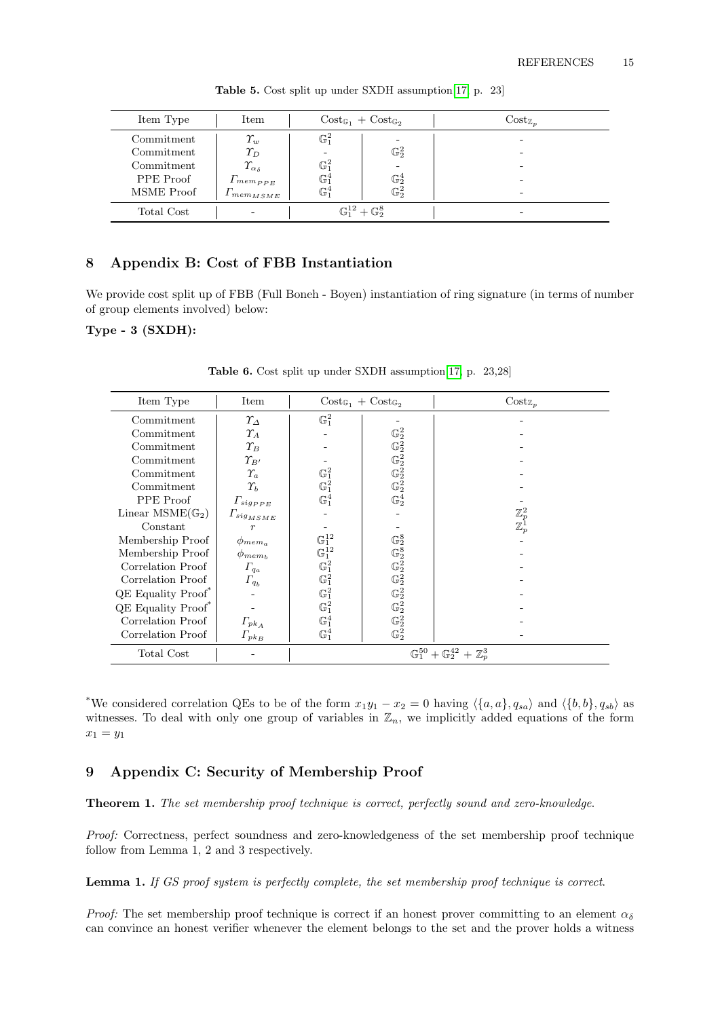| Item Type  | Item                            |                  | $Cost_{\mathbb{G}_1} + Cost_{\mathbb{G}_2}$ | $Cost_{\mathbb{Z}_p}$ |
|------------|---------------------------------|------------------|---------------------------------------------|-----------------------|
| Commitment | $\varUpsilon_w$                 | $\mathbb{G}^2_1$ |                                             | -                     |
| Commitment | $\varUpsilon_D$                 | ۰                | $\mathbb{G}_2^2$                            | -                     |
| Commitment | $\varUpsilon_{\alpha_{\delta}}$ | $\mathbb{G}^2_1$ |                                             |                       |
| PPE Proof  | $1$ mempp <sub>E</sub>          | $\mathbb{G}^4_1$ | $\mathbb{G}_2^4$                            |                       |
| MSME Proof | $mem_{MSME}$                    | $\mathbb{G}^4_1$ | $\mathbb{G}_2^2$                            | -                     |
| Total Cost | -                               |                  | $\mathbb{G}_1^{12} + \mathbb{G}_2^8$        | -                     |

Table 5. Cost split up under SXDH assumption[\[17,](#page-12-18) p. 23]

# 8 Appendix B: Cost of FBB Instantiation

We provide cost split up of FBB (Full Boneh - Boyen) instantiation of ring signature (in terms of number of group elements involved) below:

Type - 3 (SXDH):

| Item Type                   | Item                            | $Cost_{\mathbb{G}_1} + Cost_{\mathbb{G}_2}$                                             |                                                                                                                       | $Cost_{\mathbb{Z}_p}$             |  |
|-----------------------------|---------------------------------|-----------------------------------------------------------------------------------------|-----------------------------------------------------------------------------------------------------------------------|-----------------------------------|--|
| Commitment                  | $\varUpsilon_\varDelta$         | $\mathbb{G}^2_1$                                                                        |                                                                                                                       |                                   |  |
| Commitment                  | $\varUpsilon_A$                 |                                                                                         | $\mathbb{G}_2^2$                                                                                                      |                                   |  |
| Commitment                  | $\varUpsilon_B$                 |                                                                                         | $\begin{array}{l} \mathbb{G}_2^2 \\ \mathbb{G}_2^2 \\ \mathbb{G}_2^2 \\ \mathbb{G}_2^2 \\ \mathbb{G}_2^4 \end{array}$ |                                   |  |
| Commitment                  | $\varUpsilon_{B'}$              |                                                                                         |                                                                                                                       |                                   |  |
| Commitment                  | $\Upsilon_a$                    | $\mathbb{G}^2_1 \\ \mathbb{G}^2_1$                                                      |                                                                                                                       |                                   |  |
| Commitment                  | $\gamma_{\scriptscriptstyle h}$ |                                                                                         |                                                                                                                       |                                   |  |
| PPE Proof                   | $\Gamma_{sig_{PPE}}$            | $\mathbb{G}^4_1$                                                                        |                                                                                                                       |                                   |  |
| Linear $MSME(\mathbb{G}_2)$ | $\varGamma_{sig_{MSME}}$        |                                                                                         |                                                                                                                       | $\mathbb{Z}_p^2 \ \mathbb{Z}_p^1$ |  |
| Constant                    | $\boldsymbol{r}$                |                                                                                         |                                                                                                                       |                                   |  |
| Membership Proof            | $\phi_{mem_a}$                  | $\begin{array}{c} \mathbb{G}^{12}_1\\ \mathbb{G}^{12}_1\\ \mathbb{G}^2_1\\ \end{array}$ | $\mathbb{G}_2^8$                                                                                                      |                                   |  |
| Membership Proof            | $\phi_{mem_b}$                  |                                                                                         | $\begin{array}{l} \mathbb{G}_2^8 \\ \mathbb{G}_2^2 \\ \mathbb{G}_2^2 \end{array}$                                     |                                   |  |
| Correlation Proof           | $\Gamma_{q_a}$                  |                                                                                         |                                                                                                                       |                                   |  |
| Correlation Proof           | $\Gamma_{q_b}$                  | $\mathbb{G}^{\bar{2}}_1$                                                                |                                                                                                                       |                                   |  |
| <b>QE</b> Equality Proof*   |                                 | $\mathbb{G}^2_1$                                                                        | $\mathbb{G}_2^2$                                                                                                      |                                   |  |
| <b>QE</b> Equality Proof*   |                                 | $\mathbb{G}^2_1$                                                                        | $\mathbb{G}_2^2$                                                                                                      |                                   |  |
| Correlation Proof           | $\Gamma_{pkA}$                  | $\mathbb{G}^4_1$                                                                        | $\mathbb{G}_2^2$                                                                                                      |                                   |  |
| Correlation Proof           | $\Gamma_{pk_B}$                 | $\mathbb{G}^4_1$                                                                        | $\mathbb{G}_2^2$                                                                                                      |                                   |  |
| Total Cost                  |                                 | $\mathbb{G}_1^{50} + \mathbb{G}_2^{42}$<br>$\mathbb{Z}^3_p$                             |                                                                                                                       |                                   |  |

Table 6. Cost split up under SXDH assumption[\[17,](#page-12-18) p. 23,28]

<sup>\*</sup>We considered correlation QEs to be of the form  $x_1y_1 - x_2 = 0$  having  $\langle \{a, a\}, q_{sa} \rangle$  and  $\langle \{b, b\}, q_{sb} \rangle$  as witnesses. To deal with only one group of variables in  $\mathbb{Z}_n$ , we implicitly added equations of the form  $x_1 = y_1$ 

# 9 Appendix C: Security of Membership Proof

Theorem 1. The set membership proof technique is correct, perfectly sound and zero-knowledge.

Proof: Correctness, perfect soundness and zero-knowledgeness of the set membership proof technique follow from Lemma 1, 2 and 3 respectively.

Lemma 1. If GS proof system is perfectly complete, the set membership proof technique is correct.

*Proof:* The set membership proof technique is correct if an honest prover committing to an element  $\alpha_{\delta}$ can convince an honest verifier whenever the element belongs to the set and the prover holds a witness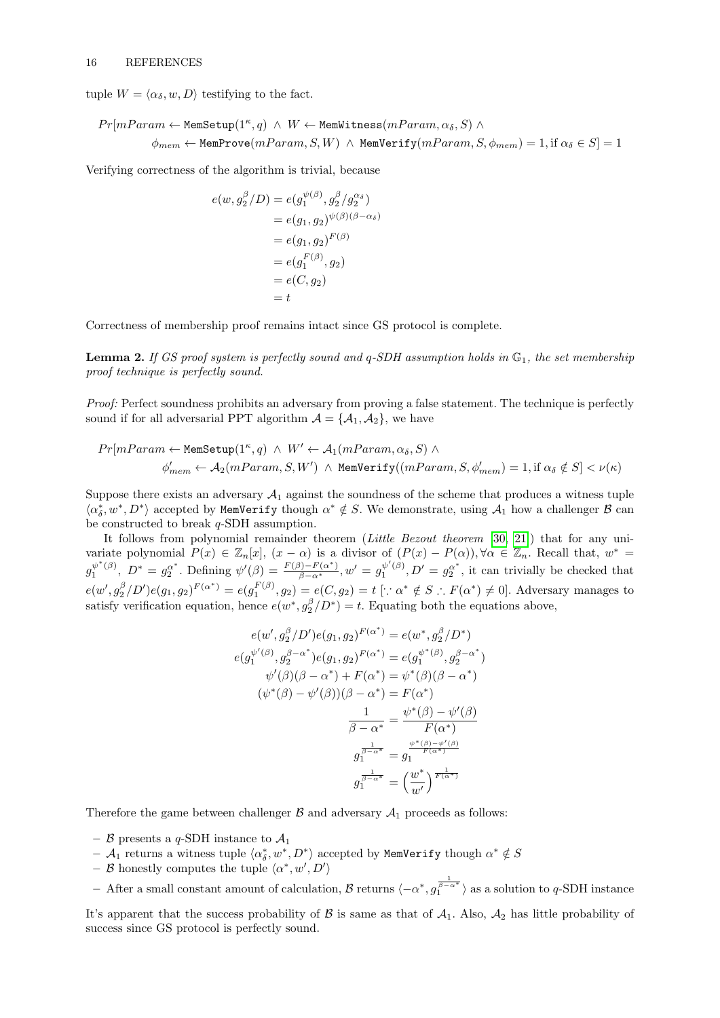tuple  $W = \langle \alpha_{\delta}, w, D \rangle$  testifying to the fact.

$$
Pr[ mParam \leftarrow \text{MemSetup}(1^{\kappa}, q) \land W \leftarrow \text{MemWitness}(mParam, \alpha_{\delta}, S) \land
$$
  

$$
\phi_{mem} \leftarrow \text{MemProve}(mParam, S, W) \land \text{MemWerify}(mParam, S, \phi_{mem}) = 1, \text{if } \alpha_{\delta} \in S] = 1
$$

Verifying correctness of the algorithm is trivial, because

$$
e(w, g_2^{\beta}/D) = e(g_1^{\psi(\beta)}, g_2^{\beta}/g_2^{\alpha_{\delta}})
$$
  
=  $e(g_1, g_2)^{\psi(\beta)(\beta - \alpha_{\delta})}$   
=  $e(g_1, g_2)^{F(\beta)}$   
=  $e(g_1^{F(\beta)}, g_2)$   
=  $e(C, g_2)$   
= t

Correctness of membership proof remains intact since GS protocol is complete.

**Lemma 2.** If GS proof system is perfectly sound and  $q$ -SDH assumption holds in  $\mathbb{G}_1$ , the set membership proof technique is perfectly sound.

Proof: Perfect soundness prohibits an adversary from proving a false statement. The technique is perfectly sound if for all adversarial PPT algorithm  $A = \{A_1, A_2\}$ , we have

$$
Pr[ mParam \leftarrow \text{MemSetup}(1^{\kappa}, q) \land W' \leftarrow \mathcal{A}_1(mParam, \alpha_{\delta}, S) \land \\ \phi'_{mem} \leftarrow \mathcal{A}_2(mParam, S, W') \land \text{MemVerify}((mParam, S, \phi'_{mem}) = 1, \text{if } \alpha_{\delta} \notin S] < \nu(\kappa)
$$

Suppose there exists an adversary  $A_1$  against the soundness of the scheme that produces a witness tuple  $\langle \alpha_{\delta}^*, w^*, D^* \rangle$  accepted by MemVerify though  $\alpha^* \notin S$ . We demonstrate, using  $\mathcal{A}_1$  how a challenger  $\mathcal B$  can be constructed to break q-SDH assumption.

It follows from polynomial remainder theorem (Little Bezout theorem [\[30,](#page-13-6) [21\]](#page-12-23)) that for any univariate polynomial  $P(x) \in \mathbb{Z}_n[x]$ ,  $(x - \alpha)$  is a divisor of  $(P(x) - P(\alpha))$ ,  $\forall \alpha \in \mathbb{Z}_n$ . Recall that,  $w^* =$  $g_1^{\psi^*(\beta)}, D^* = g_2^{\alpha^*}.$  Defining  $\psi'(\beta) = \frac{F(\beta) - F(\alpha^*)}{\beta - \alpha^*}, w' = g_1^{\psi'(\beta)}, D' = g_2^{\alpha^*},$  it can trivially be checked that  $e(w', g_2^{\beta}/D')e(g_1, g_2)^{F(\alpha^*)} = e(g_1^{F(\beta)}, g_2) = e(C, g_2) = t \; [\because \alpha^* \notin S \therefore F(\alpha^*) \neq 0].$  Adversary manages to satisfy verification equation, hence  $e(w^*, g_2^{\beta}/D^*) = t$ . Equating both the equations above,

$$
e(w', g_2^{\beta}/D')e(g_1, g_2)^{F(\alpha^*)} = e(w^*, g_2^{\beta}/D^*)
$$
  
\n
$$
e(g_1^{\psi'(\beta)}, g_2^{\beta-\alpha^*})e(g_1, g_2)^{F(\alpha^*)} = e(g_1^{\psi^*(\beta)}, g_2^{\beta-\alpha^*})
$$
  
\n
$$
\psi'(\beta)(\beta - \alpha^*) + F(\alpha^*) = \psi^*(\beta)(\beta - \alpha^*)
$$
  
\n
$$
(\psi^*(\beta) - \psi'(\beta))(\beta - \alpha^*) = F(\alpha^*)
$$
  
\n
$$
\frac{1}{\beta - \alpha^*} = \frac{\psi^*(\beta) - \psi'(\beta)}{F(\alpha^*)}
$$
  
\n
$$
g_1^{\frac{1}{\beta - \alpha^*}} = g_1^{\frac{\psi^*(\beta) - \psi'(\beta)}{F(\alpha^*)}}
$$
  
\n
$$
g_1^{\frac{1}{\beta - \alpha^*}} = \left(\frac{w^*}{w'}\right)^{\frac{1}{F(\alpha^*)}}
$$

Therefore the game between challenger  $\mathcal B$  and adversary  $\mathcal A_1$  proceeds as follows:

- $\beta$  presents a q-SDH instance to  $\mathcal{A}_1$
- $\mathcal{A}_1$  returns a witness tuple  $\langle \alpha^*_\delta, w^*, D^* \rangle$  accepted by MemVerify though  $\alpha^* \notin S$
- $-$  B honestly computes the tuple  $\langle \alpha^*, w', D' \rangle$
- $-$  After a small constant amount of calculation, *B* returns  $\langle -\alpha^*, g_1^{\frac{1}{\beta-\alpha^*}} \rangle$  as a solution to *q*-SDH instance

It's apparent that the success probability of  $\beta$  is same as that of  $\mathcal{A}_1$ . Also,  $\mathcal{A}_2$  has little probability of success since GS protocol is perfectly sound.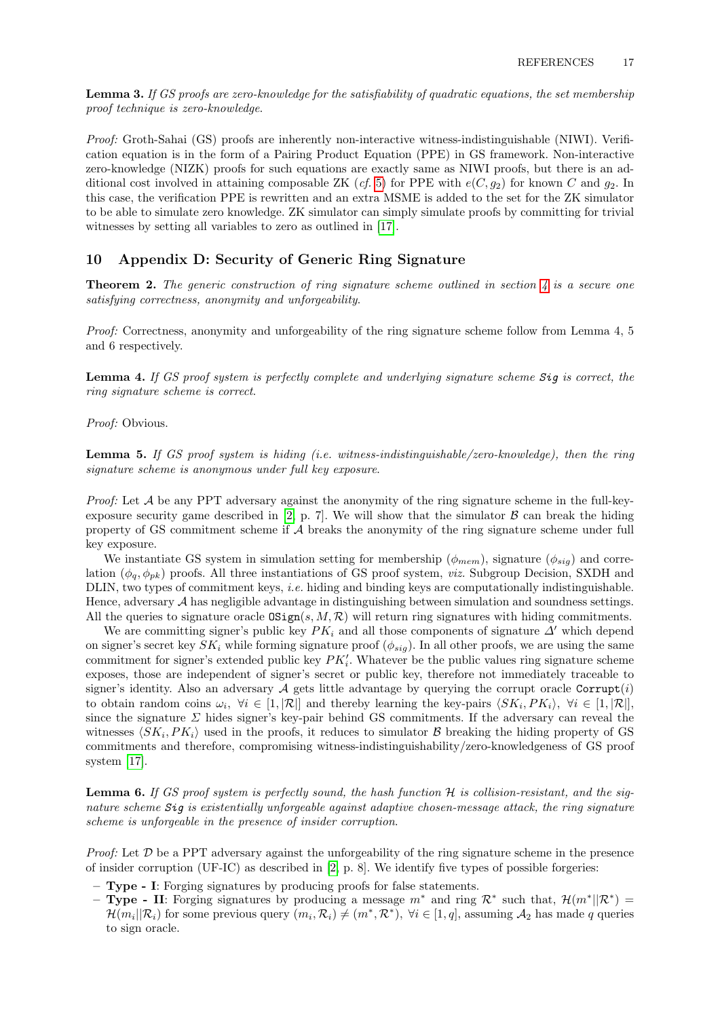Lemma 3. If GS proofs are zero-knowledge for the satisfiability of quadratic equations, the set membership proof technique is zero-knowledge.

Proof: Groth-Sahai (GS) proofs are inherently non-interactive witness-indistinguishable (NIWI). Verification equation is in the form of a Pairing Product Equation (PPE) in GS framework. Non-interactive zero-knowledge (NIZK) proofs for such equations are exactly same as NIWI proofs, but there is an ad-ditional cost involved in attaining composable ZK (cf. [5\)](#page-5-0) for PPE with  $e(C, g_2)$  for known C and  $g_2$ . In this case, the verification PPE is rewritten and an extra MSME is added to the set for the ZK simulator to be able to simulate zero knowledge. ZK simulator can simply simulate proofs by committing for trivial witnesses by setting all variables to zero as outlined in [\[17\]](#page-12-18).

### 10 Appendix D: Security of Generic Ring Signature

**Theorem 2.** The generic construction of ring signature scheme outlined in section  $\lambda$  is a secure one satisfying correctness, anonymity and unforgeability.

Proof: Correctness, anonymity and unforgeability of the ring signature scheme follow from Lemma 4, 5 and 6 respectively.

Lemma 4. If GS proof system is perfectly complete and underlying signature scheme Sig is correct, the ring signature scheme is correct.

Proof: Obvious.

**Lemma 5.** If GS proof system is hiding (i.e. witness-indistinguishable/zero-knowledge), then the ring signature scheme is anonymous under full key exposure.

Proof: Let A be any PPT adversary against the anonymity of the ring signature scheme in the full-key-exposure security game described in [\[2,](#page-12-1) p. 7]. We will show that the simulator  $\beta$  can break the hiding property of GS commitment scheme if A breaks the anonymity of the ring signature scheme under full key exposure.

We instantiate GS system in simulation setting for membership ( $\phi_{mem}$ ), signature ( $\phi_{sig}$ ) and correlation  $(\phi_q, \phi_{pk})$  proofs. All three instantiations of GS proof system, *viz.* Subgroup Decision, SXDH and DLIN, two types of commitment keys, i.e. hiding and binding keys are computationally indistinguishable. Hence, adversary A has negligible advantage in distinguishing between simulation and soundness settings. All the queries to signature oracle  $\text{OSign}(s, M, \mathcal{R})$  will return ring signatures with hiding commitments.

We are committing signer's public key  $PK_i$  and all those components of signature  $\Delta'$  which depend on signer's secret key  $SK_i$  while forming signature proof  $(\phi_{sig})$ . In all other proofs, we are using the same commitment for signer's extended public key  $PK'_{i}$ . Whatever be the public values ring signature scheme exposes, those are independent of signer's secret or public key, therefore not immediately traceable to signer's identity. Also an adversary  $A$  gets little advantage by querying the corrupt oracle Corrupt(i) to obtain random coins  $\omega_i$ ,  $\forall i \in [1, |\mathcal{R}|]$  and thereby learning the key-pairs  $\langle SK_i, PK_i \rangle$ ,  $\forall i \in [1, |\mathcal{R}|]$ , since the signature  $\Sigma$  hides signer's key-pair behind GS commitments. If the adversary can reveal the witnesses  $\langle SK_i, PK_i \rangle$  used in the proofs, it reduces to simulator B breaking the hiding property of GS commitments and therefore, compromising witness-indistinguishability/zero-knowledgeness of GS proof system [\[17\]](#page-12-18).

**Lemma 6.** If GS proof system is perfectly sound, the hash function  $H$  is collision-resistant, and the signature scheme Sig is existentially unforgeable against adaptive chosen-message attack, the ring signature scheme is unforgeable in the presence of insider corruption.

*Proof:* Let  $D$  be a PPT adversary against the unforgeability of the ring signature scheme in the presence of insider corruption (UF-IC) as described in  $[2, p. 8]$  $[2, p. 8]$ . We identify five types of possible forgeries:

- Type I: Forging signatures by producing proofs for false statements.
- Type II: Forging signatures by producing a message  $m^*$  and ring  $\mathcal{R}^*$  such that,  $\mathcal{H}(m^*||\mathcal{R}^*)$  =  $\mathcal{H}(m_i||\mathcal{R}_i)$  for some previous query  $(m_i, \mathcal{R}_i) \neq (m^*, \mathcal{R}^*)$ ,  $\forall i \in [1, q]$ , assuming  $\mathcal{A}_2$  has made q queries to sign oracle.